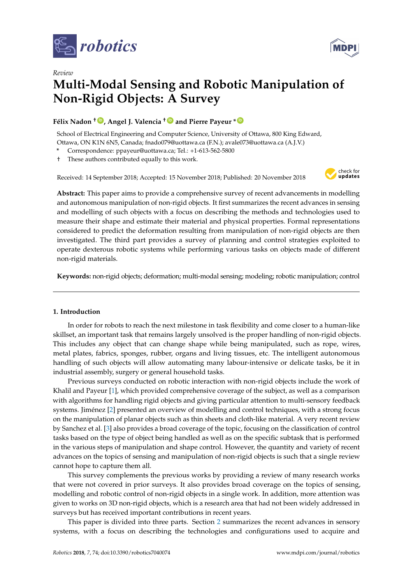

*Review*



# **Multi-Modal Sensing and Robotic Manipulation of Non-Rigid Objects: A Survey**

**Félix Nadon † [ID](https://orcid.org/0000-0002-5865-7895) , Angel J. Valencia † [ID](https://orcid.org/0000-0001-8820-0637) and Pierre Payeur \* [ID](https://orcid.org/0000-0003-3103-9752)**

School of Electrical Engineering and Computer Science, University of Ottawa, 800 King Edward, Ottawa, ON K1N 6N5, Canada; fnado079@uottawa.ca (F.N.); avale073@uottawa.ca (A.J.V.)

- **\*** Correspondence: ppayeur@uottawa.ca; Tel.: +1-613-562-5800
- † These authors contributed equally to this work.

Received: 14 September 2018; Accepted: 15 November 2018; Published: 20 November 2018



**Abstract:** This paper aims to provide a comprehensive survey of recent advancements in modelling and autonomous manipulation of non-rigid objects. It first summarizes the recent advances in sensing and modelling of such objects with a focus on describing the methods and technologies used to measure their shape and estimate their material and physical properties. Formal representations considered to predict the deformation resulting from manipulation of non-rigid objects are then investigated. The third part provides a survey of planning and control strategies exploited to operate dexterous robotic systems while performing various tasks on objects made of different non-rigid materials.

**Keywords:** non-rigid objects; deformation; multi-modal sensing; modeling; robotic manipulation; control

## **1. Introduction**

In order for robots to reach the next milestone in task flexibility and come closer to a human-like skillset, an important task that remains largely unsolved is the proper handling of non-rigid objects. This includes any object that can change shape while being manipulated, such as rope, wires, metal plates, fabrics, sponges, rubber, organs and living tissues, etc. The intelligent autonomous handling of such objects will allow automating many labour-intensive or delicate tasks, be it in industrial assembly, surgery or general household tasks.

Previous surveys conducted on robotic interaction with non-rigid objects include the work of Khalil and Payeur [\[1\]](#page-20-0), which provided comprehensive coverage of the subject, as well as a comparison with algorithms for handling rigid objects and giving particular attention to multi-sensory feedback systems. Jiménez [\[2\]](#page-20-1) presented an overview of modelling and control techniques, with a strong focus on the manipulation of planar objects such as thin sheets and cloth-like material. A very recent review by Sanchez et al. [\[3\]](#page-20-2) also provides a broad coverage of the topic, focusing on the classification of control tasks based on the type of object being handled as well as on the specific subtask that is performed in the various steps of manipulation and shape control. However, the quantity and variety of recent advances on the topics of sensing and manipulation of non-rigid objects is such that a single review cannot hope to capture them all.

This survey complements the previous works by providing a review of many research works that were not covered in prior surveys. It also provides broad coverage on the topics of sensing, modelling and robotic control of non-rigid objects in a single work. In addition, more attention was given to works on 3D non-rigid objects, which is a research area that had not been widely addressed in surveys but has received important contributions in recent years.

This paper is divided into three parts. Section [2](#page-1-0) summarizes the recent advances in sensory systems, with a focus on describing the technologies and configurations used to acquire and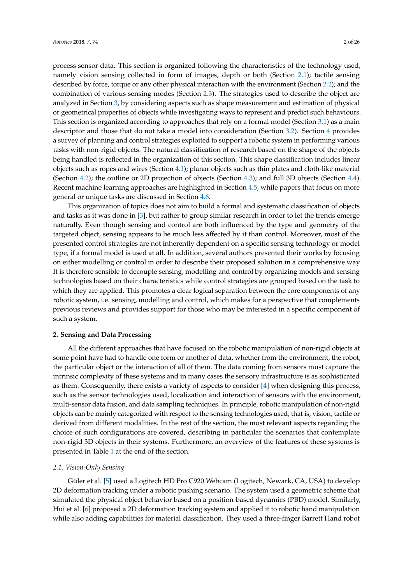process sensor data. This section is organized following the characteristics of the technology used, namely vision sensing collected in form of images, depth or both (Section [2.1\)](#page-1-1); tactile sensing described by force, torque or any other physical interaction with the environment (Section [2.2\)](#page-2-0); and the combination of various sensing modes (Section [2.3\)](#page-3-0). The strategies used to describe the object are analyzed in Section [3,](#page-4-0) by considering aspects such as shape measurement and estimation of physical or geometrical properties of objects while investigating ways to represent and predict such behaviours. This section is organized according to approaches that rely on a formal model (Section [3.1\)](#page-4-1) as a main descriptor and those that do not take a model into consideration (Section [3.2\)](#page-8-0). Section [4](#page-9-0) provides a survey of planning and control strategies exploited to support a robotic system in performing various tasks with non-rigid objects. The natural classification of research based on the shape of the objects being handled is reflected in the organization of this section. This shape classification includes linear objects such as ropes and wires (Section [4.1\)](#page-9-1); planar objects such as thin plates and cloth-like material (Section [4.2\)](#page-10-0); the outline or 2D projection of objects (Section [4.3\)](#page-13-0); and full 3D objects (Section [4.4\)](#page-14-0). Recent machine learning approaches are highlighted in Section [4.5,](#page-15-0) while papers that focus on more general or unique tasks are discussed in Section [4.6.](#page-16-0)

This organization of topics does not aim to build a formal and systematic classification of objects and tasks as it was done in [\[3\]](#page-20-2), but rather to group similar research in order to let the trends emerge naturally. Even though sensing and control are both influenced by the type and geometry of the targeted object, sensing appears to be much less affected by it than control. Moreover, most of the presented control strategies are not inherently dependent on a specific sensing technology or model type, if a formal model is used at all. In addition, several authors presented their works by focusing on either modelling or control in order to describe their proposed solution in a comprehensive way. It is therefore sensible to decouple sensing, modelling and control by organizing models and sensing technologies based on their characteristics while control strategies are grouped based on the task to which they are applied. This promotes a clear logical separation between the core components of any robotic system, i.e. sensing, modelling and control, which makes for a perspective that complements previous reviews and provides support for those who may be interested in a specific component of such a system.

# <span id="page-1-0"></span>**2. Sensing and Data Processing**

All the different approaches that have focused on the robotic manipulation of non-rigid objects at some point have had to handle one form or another of data, whether from the environment, the robot, the particular object or the interaction of all of them. The data coming from sensors must capture the intrinsic complexity of these systems and in many cases the sensory infrastructure is as sophisticated as them. Consequently, there exists a variety of aspects to consider [\[4\]](#page-20-3) when designing this process, such as the sensor technologies used, localization and interaction of sensors with the environment, multi-sensor data fusion, and data sampling techniques. In principle, robotic manipulation of non-rigid objects can be mainly categorized with respect to the sensing technologies used, that is, vision, tactile or derived from different modalities. In the rest of the section, the most relevant aspects regarding the choice of such configurations are covered, describing in particular the scenarios that contemplate non-rigid 3D objects in their systems. Furthermore, an overview of the features of these systems is presented in Table [1](#page-4-2) at the end of the section.

## <span id="page-1-1"></span>*2.1. Vision-Only Sensing*

Güler et al. [\[5\]](#page-20-4) used a Logitech HD Pro C920 Webcam (Logitech, Newark, CA, USA) to develop 2D deformation tracking under a robotic pushing scenario. The system used a geometric scheme that simulated the physical object behavior based on a position-based dynamics (PBD) model. Similarly, Hui et al. [\[6\]](#page-20-5) proposed a 2D deformation tracking system and applied it to robotic hand manipulation while also adding capabilities for material classification. They used a three-finger Barrett Hand robot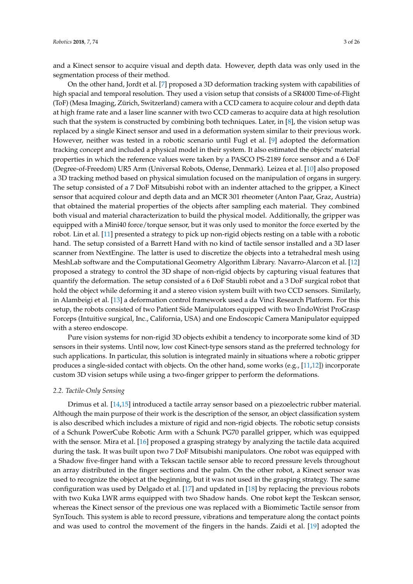and a Kinect sensor to acquire visual and depth data. However, depth data was only used in the segmentation process of their method.

On the other hand, Jordt et al. [\[7\]](#page-20-6) proposed a 3D deformation tracking system with capabilities of high spacial and temporal resolution. They used a vision setup that consists of a SR4000 Time-of-Flight (ToF) (Mesa Imaging, Zürich, Switzerland) camera with a CCD camera to acquire colour and depth data at high frame rate and a laser line scanner with two CCD cameras to acquire data at high resolution such that the system is constructed by combining both techniques. Later, in [\[8\]](#page-20-7), the vision setup was replaced by a single Kinect sensor and used in a deformation system similar to their previous work. However, neither was tested in a robotic scenario until Fugl et al. [\[9\]](#page-20-8) adopted the deformation tracking concept and included a physical model in their system. It also estimated the objects' material properties in which the reference values were taken by a PASCO PS-2189 force sensor and a 6 DoF (Degree-of-Freedom) UR5 Arm (Universal Robots, Odense, Denmark). Leizea et al. [\[10\]](#page-20-9) also proposed a 3D tracking method based on physical simulation focused on the manipulation of organs in surgery. The setup consisted of a 7 DoF Mitsubishi robot with an indenter attached to the gripper, a Kinect sensor that acquired colour and depth data and an MCR 301 rheometer (Anton Paar, Graz, Austria) that obtained the material properties of the objects after sampling each material. They combined both visual and material characterization to build the physical model. Additionally, the gripper was equipped with a Mini40 force/torque sensor, but it was only used to monitor the force exerted by the robot. Lin et al. [\[11\]](#page-20-10) presented a strategy to pick up non-rigid objects resting on a table with a robotic hand. The setup consisted of a Barrett Hand with no kind of tactile sensor installed and a 3D laser scanner from NextEngine. The latter is used to discretize the objects into a tetrahedral mesh using MeshLab software and the Computational Geometry Algorithm Library. Navarro-Alarcon et al. [\[12\]](#page-20-11) proposed a strategy to control the 3D shape of non-rigid objects by capturing visual features that quantify the deformation. The setup consisted of a 6 DoF Staubli robot and a 3 DoF surgical robot that hold the object while deforming it and a stereo vision system built with two CCD sensors. Similarly, in Alambeigi et al. [\[13\]](#page-20-12) a deformation control framework used a da Vinci Research Platform. For this setup, the robots consisted of two Patient Side Manipulators equipped with two EndoWrist ProGrasp Forceps (Intuitive surgical, Inc., California, USA) and one Endoscopic Camera Manipulator equipped with a stereo endoscope.

Pure vision systems for non-rigid 3D objects exhibit a tendency to incorporate some kind of 3D sensors in their systems. Until now, low cost Kinect-type sensors stand as the preferred technology for such applications. In particular, this solution is integrated mainly in situations where a robotic gripper produces a single-sided contact with objects. On the other hand, some works (e.g., [\[11](#page-20-10)[,12\]](#page-20-11)) incorporate custom 3D vision setups while using a two-finger gripper to perform the deformations.

## <span id="page-2-0"></span>*2.2. Tactile-Only Sensing*

Drimus et al. [\[14](#page-20-13)[,15\]](#page-21-0) introduced a tactile array sensor based on a piezoelectric rubber material. Although the main purpose of their work is the description of the sensor, an object classification system is also described which includes a mixture of rigid and non-rigid objects. The robotic setup consists of a Schunk PowerCube Robotic Arm with a Schunk PG70 parallel gripper, which was equipped with the sensor. Mira et al. [\[16\]](#page-21-1) proposed a grasping strategy by analyzing the tactile data acquired during the task. It was built upon two 7 DoF Mitsubishi manipulators. One robot was equipped with a Shadow five-finger hand with a Tekscan tactile sensor able to record pressure levels throughout an array distributed in the finger sections and the palm. On the other robot, a Kinect sensor was used to recognize the object at the beginning, but it was not used in the grasping strategy. The same configuration was used by Delgado et al. [\[17\]](#page-21-2) and updated in [\[18\]](#page-21-3) by replacing the previous robots with two Kuka LWR arms equipped with two Shadow hands. One robot kept the Teskcan sensor, whereas the Kinect sensor of the previous one was replaced with a Biomimetic Tactile sensor from SynTouch. This system is able to record pressure, vibrations and temperature along the contact points and was used to control the movement of the fingers in the hands. Zaidi et al. [\[19\]](#page-21-4) adopted the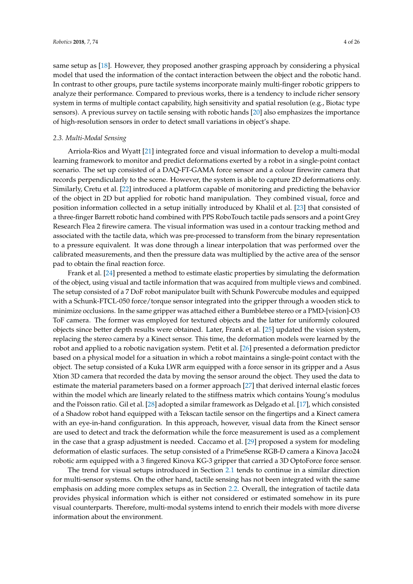same setup as [\[18\]](#page-21-3). However, they proposed another grasping approach by considering a physical model that used the information of the contact interaction between the object and the robotic hand. In contrast to other groups, pure tactile systems incorporate mainly multi-finger robotic grippers to analyze their performance. Compared to previous works, there is a tendency to include richer sensory system in terms of multiple contact capability, high sensitivity and spatial resolution (e.g., Biotac type sensors). A previous survey on tactile sensing with robotic hands [\[20\]](#page-21-5) also emphasizes the importance of high-resolution sensors in order to detect small variations in object's shape.

#### <span id="page-3-0"></span>*2.3. Multi-Modal Sensing*

Arriola-Rios and Wyatt [\[21\]](#page-21-6) integrated force and visual information to develop a multi-modal learning framework to monitor and predict deformations exerted by a robot in a single-point contact scenario. The set up consisted of a DAQ-FT-GAMA force sensor and a colour firewire camera that records perpendicularly to the scene. However, the system is able to capture 2D deformations only. Similarly, Cretu et al. [\[22\]](#page-21-7) introduced a platform capable of monitoring and predicting the behavior of the object in 2D but applied for robotic hand manipulation. They combined visual, force and position information collected in a setup initially introduced by Khalil et al. [\[23\]](#page-21-8) that consisted of a three-finger Barrett robotic hand combined with PPS RoboTouch tactile pads sensors and a point Grey Research Flea 2 firewire camera. The visual information was used in a contour tracking method and associated with the tactile data, which was pre-processed to transform from the binary representation to a pressure equivalent. It was done through a linear interpolation that was performed over the calibrated measurements, and then the pressure data was multiplied by the active area of the sensor pad to obtain the final reaction force.

Frank et al. [\[24\]](#page-21-9) presented a method to estimate elastic properties by simulating the deformation of the object, using visual and tactile information that was acquired from multiple views and combined. The setup consisted of a 7 DoF robot manipulator built with Schunk Powercube modules and equipped with a Schunk-FTCL-050 force/torque sensor integrated into the gripper through a wooden stick to minimize occlusions. In the same gripper was attached either a Bumblebee stereo or a PMD-[vision]-O3 ToF camera. The former was employed for textured objects and the latter for uniformly coloured objects since better depth results were obtained. Later, Frank et al. [\[25\]](#page-21-10) updated the vision system, replacing the stereo camera by a Kinect sensor. This time, the deformation models were learned by the robot and applied to a robotic navigation system. Petit et al. [\[26\]](#page-21-11) presented a deformation predictor based on a physical model for a situation in which a robot maintains a single-point contact with the object. The setup consisted of a Kuka LWR arm equipped with a force sensor in its gripper and a Asus Xtion 3D camera that recorded the data by moving the sensor around the object. They used the data to estimate the material parameters based on a former approach [\[27\]](#page-21-12) that derived internal elastic forces within the model which are linearly related to the stiffness matrix which contains Young's modulus and the Poisson ratio. Gil et al. [\[28\]](#page-21-13) adopted a similar framework as Delgado et al. [\[17\]](#page-21-2), which consisted of a Shadow robot hand equipped with a Tekscan tactile sensor on the fingertips and a Kinect camera with an eye-in-hand configuration. In this approach, however, visual data from the Kinect sensor are used to detect and track the deformation while the force measurement is used as a complement in the case that a grasp adjustment is needed. Caccamo et al. [\[29\]](#page-21-14) proposed a system for modeling deformation of elastic surfaces. The setup consisted of a PrimeSense RGB-D camera a Kinova Jaco24 robotic arm equipped with a 3 fingered Kinova KG-3 gripper that carried a 3D OptoForce force sensor.

The trend for visual setups introduced in Section [2.1](#page-1-1) tends to continue in a similar direction for multi-sensor systems. On the other hand, tactile sensing has not been integrated with the same emphasis on adding more complex setups as in Section [2.2.](#page-2-0) Overall, the integration of tactile data provides physical information which is either not considered or estimated somehow in its pure visual counterparts. Therefore, multi-modal systems intend to enrich their models with more diverse information about the environment.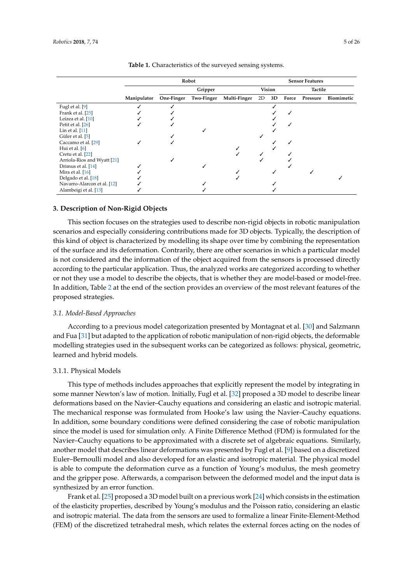<span id="page-4-2"></span>

|                             | Robot       |            |            |              | <b>Sensor Features</b> |               |       |          |                   |  |
|-----------------------------|-------------|------------|------------|--------------|------------------------|---------------|-------|----------|-------------------|--|
|                             |             |            | Gripper    |              |                        | <b>Vision</b> |       | Tactile  |                   |  |
|                             | Manipulator | One-Finger | Two-Finger | Multi-Finger | 2D                     | 3D            | Force | Pressure | <b>Biomimetic</b> |  |
| Fugl et al. [9]             |             |            |            |              |                        |               |       |          |                   |  |
| Frank et al. [25]           |             |            |            |              |                        |               |       |          |                   |  |
| Leizea et al. [10]          |             |            |            |              |                        |               |       |          |                   |  |
| Petit et al. [26]           |             |            |            |              |                        |               |       |          |                   |  |
| Lin et al. $[11]$           |             |            |            |              |                        |               |       |          |                   |  |
| Güler et al. [5]            |             |            |            |              |                        |               |       |          |                   |  |
| Caccamo et al. [29]         |             |            |            |              |                        |               |       |          |                   |  |
| Hui et al. $[6]$            |             |            |            |              |                        |               |       |          |                   |  |
| Cretu et al. [22]           |             |            |            |              |                        |               |       |          |                   |  |
| Arriola-Rios and Wyatt [21] |             |            |            |              |                        |               |       |          |                   |  |
| Drimus et al. [14]          |             |            |            |              |                        |               |       |          |                   |  |
| Mira et al. [16]            |             |            |            |              |                        |               |       |          |                   |  |
| Delgado et al. [18]         |             |            |            |              |                        |               |       |          |                   |  |
| Navarro-Alarcon et al. [12] |             |            |            |              |                        |               |       |          |                   |  |
| Alambeigi et al. [13]       |             |            |            |              |                        |               |       |          |                   |  |

**Table 1.** Characteristics of the surveyed sensing systems.

## <span id="page-4-0"></span>**3. Description of Non-Rigid Objects**

This section focuses on the strategies used to describe non-rigid objects in robotic manipulation scenarios and especially considering contributions made for 3D objects. Typically, the description of this kind of object is characterized by modelling its shape over time by combining the representation of the surface and its deformation. Contrarily, there are other scenarios in which a particular model is not considered and the information of the object acquired from the sensors is processed directly according to the particular application. Thus, the analyzed works are categorized according to whether or not they use a model to describe the objects, that is whether they are model-based or model-free. In addition, Table [2](#page-9-2) at the end of the section provides an overview of the most relevant features of the proposed strategies.

#### <span id="page-4-1"></span>*3.1. Model-Based Approaches*

According to a previous model categorization presented by Montagnat et al. [\[30\]](#page-21-15) and Salzmann and Fua [\[31\]](#page-21-16) but adapted to the application of robotic manipulation of non-rigid objects, the deformable modelling strategies used in the subsequent works can be categorized as follows: physical, geometric, learned and hybrid models.

#### <span id="page-4-3"></span>3.1.1. Physical Models

This type of methods includes approaches that explicitly represent the model by integrating in some manner Newton's law of motion. Initially, Fugl et al. [\[32\]](#page-21-17) proposed a 3D model to describe linear deformations based on the Navier–Cauchy equations and considering an elastic and isotropic material. The mechanical response was formulated from Hooke's law using the Navier–Cauchy equations. In addition, some boundary conditions were defined considering the case of robotic manipulation since the model is used for simulation only. A Finite Difference Method (FDM) is formulated for the Navier–Cauchy equations to be approximated with a discrete set of algebraic equations. Similarly, another model that describes linear deformations was presented by Fugl et al. [\[9\]](#page-20-8) based on a discretized Euler–Bernoulli model and also developed for an elastic and isotropic material. The physical model is able to compute the deformation curve as a function of Young's modulus, the mesh geometry and the gripper pose. Afterwards, a comparison between the deformed model and the input data is synthesized by an error function.

Frank et al. [\[25\]](#page-21-10) proposed a 3D model built on a previous work [\[24\]](#page-21-9) which consists in the estimation of the elasticity properties, described by Young's modulus and the Poisson ratio, considering an elastic and isotropic material. The data from the sensors are used to formalize a linear Finite-Element-Method (FEM) of the discretized tetrahedral mesh, which relates the external forces acting on the nodes of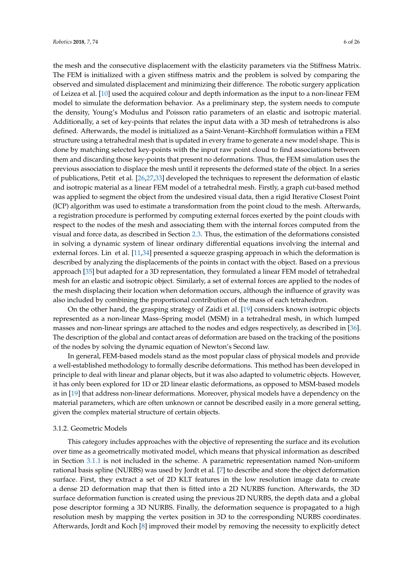the mesh and the consecutive displacement with the elasticity parameters via the Stiffness Matrix. The FEM is initialized with a given stiffness matrix and the problem is solved by comparing the observed and simulated displacement and minimizing their difference. The robotic surgery application of Leizea et al. [\[10\]](#page-20-9) used the acquired colour and depth information as the input to a non-linear FEM model to simulate the deformation behavior. As a preliminary step, the system needs to compute the density, Young's Modulus and Poisson ratio parameters of an elastic and isotropic material. Additionally, a set of key-points that relates the input data with a 3D mesh of tetrahedrons is also defined. Afterwards, the model is initialized as a Saint-Venant–Kirchhoff formulation within a FEM structure using a tetrahedral mesh that is updated in every frame to generate a new model shape. This is done by matching selected key-points with the input raw point cloud to find associations between them and discarding those key-points that present no deformations. Thus, the FEM simulation uses the previous association to displace the mesh until it represents the deformed state of the object. In a series of publications, Petit et al. [\[26](#page-21-11)[,27,](#page-21-12)[33\]](#page-21-18) developed the techniques to represent the deformation of elastic and isotropic material as a linear FEM model of a tetrahedral mesh. Firstly, a graph cut-based method was applied to segment the object from the undesired visual data, then a rigid Iterative Closest Point (ICP) algorithm was used to estimate a transformation from the point cloud to the mesh. Afterwards, a registration procedure is performed by computing external forces exerted by the point clouds with respect to the nodes of the mesh and associating them with the internal forces computed from the visual and force data, as described in Section [2.3.](#page-3-0) Thus, the estimation of the deformations consisted in solving a dynamic system of linear ordinary differential equations involving the internal and external forces. Lin et al. [\[11,](#page-20-10)[34\]](#page-22-0) presented a squeeze grasping approach in which the deformation is described by analyzing the displacements of the points in contact with the object. Based on a previous approach [\[35\]](#page-22-1) but adapted for a 3D representation, they formulated a linear FEM model of tetrahedral mesh for an elastic and isotropic object. Similarly, a set of external forces are applied to the nodes of the mesh displacing their location when deformation occurs, although the influence of gravity was also included by combining the proportional contribution of the mass of each tetrahedron.

On the other hand, the grasping strategy of Zaidi et al. [\[19\]](#page-21-4) considers known isotropic objects represented as a non-linear Mass–Spring model (MSM) in a tetrahedral mesh, in which lumped masses and non-linear springs are attached to the nodes and edges respectively, as described in [\[36\]](#page-22-2). The description of the global and contact areas of deformation are based on the tracking of the positions of the nodes by solving the dynamic equation of Newton's Second law.

In general, FEM-based models stand as the most popular class of physical models and provide a well-established methodology to formally describe deformations. This method has been developed in principle to deal with linear and planar objects, but it was also adapted to volumetric objects. However, it has only been explored for 1D or 2D linear elastic deformations, as opposed to MSM-based models as in [\[19\]](#page-21-4) that address non-linear deformations. Moreover, physical models have a dependency on the material parameters, which are often unknown or cannot be described easily in a more general setting, given the complex material structure of certain objects.

## <span id="page-5-0"></span>3.1.2. Geometric Models

This category includes approaches with the objective of representing the surface and its evolution over time as a geometrically motivated model, which means that physical information as described in Section [3.1.1](#page-4-3) is not included in the scheme. A parametric representation named Non-uniform rational basis spline (NURBS) was used by Jordt et al. [\[7\]](#page-20-6) to describe and store the object deformation surface. First, they extract a set of 2D KLT features in the low resolution image data to create a dense 2D deformation map that then is fitted into a 2D NURBS function. Afterwards, the 3D surface deformation function is created using the previous 2D NURBS, the depth data and a global pose descriptor forming a 3D NURBS. Finally, the deformation sequence is propagated to a high resolution mesh by mapping the vertex position in 3D to the corresponding NURBS coordinates. Afterwards, Jordt and Koch [\[8\]](#page-20-7) improved their model by removing the necessity to explicitly detect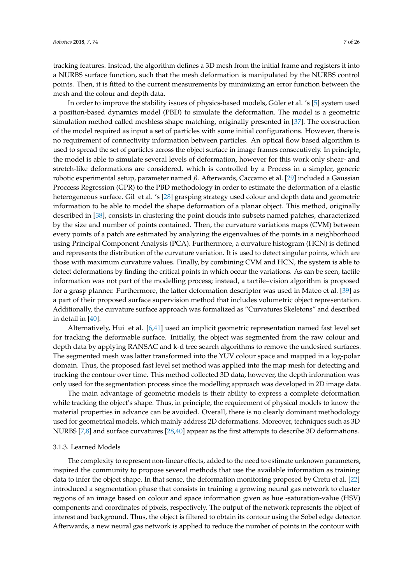tracking features. Instead, the algorithm defines a 3D mesh from the initial frame and registers it into a NURBS surface function, such that the mesh deformation is manipulated by the NURBS control points. Then, it is fitted to the current measurements by minimizing an error function between the mesh and the colour and depth data.

In order to improve the stability issues of physics-based models, Güler et al. 's [\[5\]](#page-20-4) system used a position-based dynamics model (PBD) to simulate the deformation. The model is a geometric simulation method called meshless shape matching, originally presented in [\[37\]](#page-22-3). The construction of the model required as input a set of particles with some initial configurations. However, there is no requirement of connectivity information between particles. An optical flow based algorithm is used to spread the set of particles across the object surface in image frames consecutively. In principle, the model is able to simulate several levels of deformation, however for this work only shear- and stretch-like deformations are considered, which is controlled by a Process in a simpler, generic robotic experimental setup, parameter named *β*. Afterwards, Caccamo et al. [\[29\]](#page-21-14) included a Gaussian Proccess Regression (GPR) to the PBD methodology in order to estimate the deformation of a elastic heterogeneous surface. Gil et al. 's [\[28\]](#page-21-13) grasping strategy used colour and depth data and geometric information to be able to model the shape deformation of a planar object. This method, originally described in [\[38\]](#page-22-4), consists in clustering the point clouds into subsets named patches, characterized by the size and number of points contained. Then, the curvature variations maps (CVM) between every points of a patch are estimated by analyzing the eigenvalues of the points in a neighborhood using Principal Component Analysis (PCA). Furthermore, a curvature histogram (HCN) is defined and represents the distribution of the curvature variation. It is used to detect singular points, which are those with maximum curvature values. Finally, by combining CVM and HCN, the system is able to detect deformations by finding the critical points in which occur the variations. As can be seen, tactile information was not part of the modelling process; instead, a tactile–vision algorithm is proposed for a grasp planner. Furthermore, the latter deformation descriptor was used in Mateo et al. [\[39\]](#page-22-5) as a part of their proposed surface supervision method that includes volumetric object representation. Additionally, the curvature surface approach was formalized as "Curvatures Skeletons" and described in detail in [\[40\]](#page-22-6).

Alternatively, Hui et al. [\[6](#page-20-5)[,41\]](#page-22-7) used an implicit geometric representation named fast level set for tracking the deformable surface. Initially, the object was segmented from the raw colour and depth data by applying RANSAC and k-d tree search algorithms to remove the undesired surfaces. The segmented mesh was latter transformed into the YUV colour space and mapped in a log-polar domain. Thus, the proposed fast level set method was applied into the map mesh for detecting and tracking the contour over time. This method collected 3D data, however, the depth information was only used for the segmentation process since the modelling approach was developed in 2D image data.

The main advantage of geometric models is their ability to express a complete deformation while tracking the object's shape. Thus, in principle, the requirement of physical models to know the material properties in advance can be avoided. Overall, there is no clearly dominant methodology used for geometrical models, which mainly address 2D deformations. Moreover, techniques such as 3D NURBS [\[7](#page-20-6)[,8\]](#page-20-7) and surface curvatures [\[28](#page-21-13)[,40\]](#page-22-6) appear as the first attempts to describe 3D deformations.

#### <span id="page-6-0"></span>3.1.3. Learned Models

The complexity to represent non-linear effects, added to the need to estimate unknown parameters, inspired the community to propose several methods that use the available information as training data to infer the object shape. In that sense, the deformation monitoring proposed by Cretu et al. [\[22\]](#page-21-7) introduced a segmentation phase that consists in training a growing neural gas network to cluster regions of an image based on colour and space information given as hue -saturation-value (HSV) components and coordinates of pixels, respectively. The output of the network represents the object of interest and background. Thus, the object is filtered to obtain its contour using the Sobel edge detector. Afterwards, a new neural gas network is applied to reduce the number of points in the contour with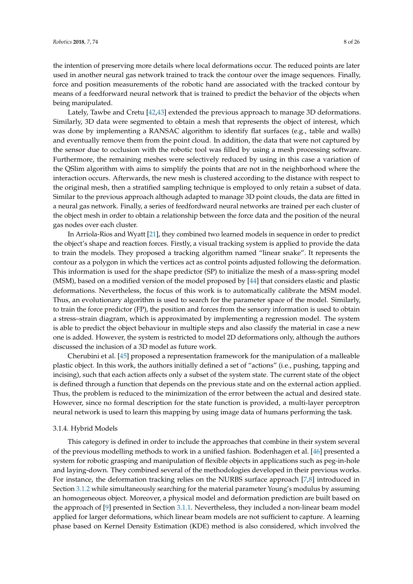the intention of preserving more details where local deformations occur. The reduced points are later used in another neural gas network trained to track the contour over the image sequences. Finally, force and position measurements of the robotic hand are associated with the tracked contour by means of a feedforward neural network that is trained to predict the behavior of the objects when being manipulated.

Lately, Tawbe and Cretu [\[42,](#page-22-8)[43\]](#page-22-9) extended the previous approach to manage 3D deformations. Similarly, 3D data were segmented to obtain a mesh that represents the object of interest, which was done by implementing a RANSAC algorithm to identify flat surfaces (e.g., table and walls) and eventually remove them from the point cloud. In addition, the data that were not captured by the sensor due to occlusion with the robotic tool was filled by using a mesh processing software. Furthermore, the remaining meshes were selectively reduced by using in this case a variation of the QSlim algorithm with aims to simplify the points that are not in the neighborhood where the interaction occurs. Afterwards, the new mesh is clustered according to the distance with respect to the original mesh, then a stratified sampling technique is employed to only retain a subset of data. Similar to the previous approach although adapted to manage 3D point clouds, the data are fitted in a neural gas network. Finally, a series of feedfordward neural networks are trained per each cluster of the object mesh in order to obtain a relationship between the force data and the position of the neural gas nodes over each cluster.

In Arriola-Rios and Wyatt [\[21\]](#page-21-6), they combined two learned models in sequence in order to predict the object's shape and reaction forces. Firstly, a visual tracking system is applied to provide the data to train the models. They proposed a tracking algorithm named "linear snake". It represents the contour as a polygon in which the vertices act as control points adjusted following the deformation. This information is used for the shape predictor (SP) to initialize the mesh of a mass-spring model (MSM), based on a modified version of the model proposed by [\[44\]](#page-22-10) that considers elastic and plastic deformations. Nevertheless, the focus of this work is to automatically calibrate the MSM model. Thus, an evolutionary algorithm is used to search for the parameter space of the model. Similarly, to train the force predictor (FP), the position and forces from the sensory information is used to obtain a stress–strain diagram, which is approximated by implementing a regression model. The system is able to predict the object behaviour in multiple steps and also classify the material in case a new one is added. However, the system is restricted to model 2D deformations only, although the authors discussed the inclusion of a 3D model as future work.

Cherubini et al. [\[45\]](#page-22-11) proposed a representation framework for the manipulation of a malleable plastic object. In this work, the authors initially defined a set of "actions" (i.e., pushing, tapping and incising), such that each action affects only a subset of the system state. The current state of the object is defined through a function that depends on the previous state and on the external action applied. Thus, the problem is reduced to the minimization of the error between the actual and desired state. However, since no formal description for the state function is provided, a multi-layer perceptron neural network is used to learn this mapping by using image data of humans performing the task.

## 3.1.4. Hybrid Models

This category is defined in order to include the approaches that combine in their system several of the previous modelling methods to work in a unified fashion. Bodenhagen et al. [\[46\]](#page-22-12) presented a system for robotic grasping and manipulation of flexible objects in applications such as peg-in-hole and laying-down. They combined several of the methodologies developed in their previous works. For instance, the deformation tracking relies on the NURBS surface approach [\[7,](#page-20-6)[8\]](#page-20-7) introduced in Section [3.1.2](#page-5-0) while simultaneously searching for the material parameter Young's modulus by assuming an homogeneous object. Moreover, a physical model and deformation prediction are built based on the approach of [\[9\]](#page-20-8) presented in Section [3.1.1.](#page-4-3) Nevertheless, they included a non-linear beam model applied for larger deformations, which linear beam models are not sufficient to capture. A learning phase based on Kernel Density Estimation (KDE) method is also considered, which involved the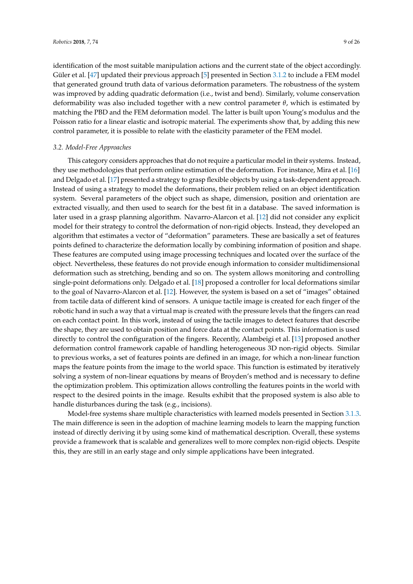identification of the most suitable manipulation actions and the current state of the object accordingly. Güler et al. [\[47\]](#page-22-13) updated their previous approach [\[5\]](#page-20-4) presented in Section [3.1.2](#page-5-0) to include a FEM model that generated ground truth data of various deformation parameters. The robustness of the system was improved by adding quadratic deformation (i.e., twist and bend). Similarly, volume conservation deformability was also included together with a new control parameter *θ*, which is estimated by matching the PBD and the FEM deformation model. The latter is built upon Young's modulus and the Poisson ratio for a linear elastic and isotropic material. The experiments show that, by adding this new control parameter, it is possible to relate with the elasticity parameter of the FEM model.

## <span id="page-8-0"></span>*3.2. Model-Free Approaches*

This category considers approaches that do not require a particular model in their systems. Instead, they use methodologies that perform online estimation of the deformation. For instance, Mira et al. [\[16\]](#page-21-1) and Delgado et al. [\[17\]](#page-21-2) presented a strategy to grasp flexible objects by using a task-dependent approach. Instead of using a strategy to model the deformations, their problem relied on an object identification system. Several parameters of the object such as shape, dimension, position and orientation are extracted visually, and then used to search for the best fit in a database. The saved information is later used in a grasp planning algorithm. Navarro-Alarcon et al. [\[12\]](#page-20-11) did not consider any explicit model for their strategy to control the deformation of non-rigid objects. Instead, they developed an algorithm that estimates a vector of "deformation" parameters. These are basically a set of features points defined to characterize the deformation locally by combining information of position and shape. These features are computed using image processing techniques and located over the surface of the object. Nevertheless, these features do not provide enough information to consider multidimensional deformation such as stretching, bending and so on. The system allows monitoring and controlling single-point deformations only. Delgado et al. [\[18\]](#page-21-3) proposed a controller for local deformations similar to the goal of Navarro-Alarcon et al. [\[12\]](#page-20-11). However, the system is based on a set of "images" obtained from tactile data of different kind of sensors. A unique tactile image is created for each finger of the robotic hand in such a way that a virtual map is created with the pressure levels that the fingers can read on each contact point. In this work, instead of using the tactile images to detect features that describe the shape, they are used to obtain position and force data at the contact points. This information is used directly to control the configuration of the fingers. Recently, Alambeigi et al. [\[13\]](#page-20-12) proposed another deformation control framework capable of handling heterogeneous 3D non-rigid objects. Similar to previous works, a set of features points are defined in an image, for which a non-linear function maps the feature points from the image to the world space. This function is estimated by iteratively solving a system of non-linear equations by means of Broyden's method and is necessary to define the optimization problem. This optimization allows controlling the features points in the world with respect to the desired points in the image. Results exhibit that the proposed system is also able to handle disturbances during the task (e.g., incisions).

Model-free systems share multiple characteristics with learned models presented in Section [3.1.3.](#page-6-0) The main difference is seen in the adoption of machine learning models to learn the mapping function instead of directly deriving it by using some kind of mathematical description. Overall, these systems provide a framework that is scalable and generalizes well to more complex non-rigid objects. Despite this, they are still in an early stage and only simple applications have been integrated.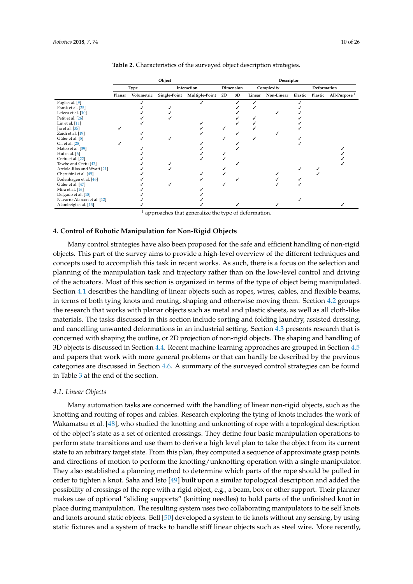<span id="page-9-2"></span>

|                             | Object |            |              | Descriptor     |           |    |            |            |             |         |                 |
|-----------------------------|--------|------------|--------------|----------------|-----------|----|------------|------------|-------------|---------|-----------------|
|                             | Type   |            | Interaction  |                | Dimension |    | Complexity |            | Deformation |         |                 |
|                             | Planar | Volumetric | Single-Point | Multiple-Point | 2D        | 3D | Linear     | Non-Linear | Elastic     | Plastic | All-Purpose $1$ |
| Fugl et al. [9]             |        |            |              |                |           |    |            |            |             |         |                 |
| Frank et al. [25]           |        |            |              |                |           |    |            |            |             |         |                 |
| Leizea et al. [10]          |        |            |              |                |           |    |            |            |             |         |                 |
| Petit et al. [26]           |        |            |              |                |           |    |            |            |             |         |                 |
| Lin et al. $[11]$           |        |            |              |                |           |    |            |            |             |         |                 |
| Jia et al. $[35]$           |        |            |              |                |           |    |            |            |             |         |                 |
| Zaidi et al. [19]           |        |            |              |                |           |    |            |            |             |         |                 |
| Güler et al. [5]            |        |            |              |                |           |    |            |            |             |         |                 |
| Gil et al. [28]             |        |            |              |                |           |    |            |            |             |         |                 |
| Mateo et al. [39]           |        |            |              |                |           |    |            |            |             |         |                 |
| Hui et al. $[6]$            |        |            |              |                |           |    |            |            |             |         |                 |
| Cretu et al. [22]           |        |            |              |                |           |    |            |            |             |         |                 |
| Tawbe and Cretu [43]        |        |            |              |                |           |    |            |            |             |         |                 |
| Arriola-Rios and Wyatt [21] |        |            |              |                |           |    |            |            |             |         |                 |
| Cherubini et al. [45]       |        |            |              |                |           |    |            |            |             |         |                 |
| Bodenhagen et al. [46]      |        |            |              |                |           |    |            |            |             |         |                 |
| Güler et al. [47]           |        |            |              |                |           |    |            |            |             |         |                 |
| Mira et al. [16]            |        |            |              |                |           |    |            |            |             |         |                 |
| Delgado et al. [18]         |        |            |              |                |           |    |            |            |             |         |                 |
| Navarro-Alarcon et al. [12] |        |            |              |                |           |    |            |            |             |         |                 |
| Alambeigi et al. [13]       |        |            |              |                |           |    |            |            |             |         |                 |

**Table 2.** Characteristics of the surveyed object description strategies.

<sup>1</sup> approaches that generalize the type of deformation.

## <span id="page-9-0"></span>**4. Control of Robotic Manipulation for Non-Rigid Objects**

Many control strategies have also been proposed for the safe and efficient handling of non-rigid objects. This part of the survey aims to provide a high-level overview of the different techniques and concepts used to accomplish this task in recent works. As such, there is a focus on the selection and planning of the manipulation task and trajectory rather than on the low-level control and driving of the actuators. Most of this section is organized in terms of the type of object being manipulated. Section [4.1](#page-9-1) describes the handling of linear objects such as ropes, wires, cables, and flexible beams, in terms of both tying knots and routing, shaping and otherwise moving them. Section [4.2](#page-10-0) groups the research that works with planar objects such as metal and plastic sheets, as well as all cloth-like materials. The tasks discussed in this section include sorting and folding laundry, assisted dressing, and cancelling unwanted deformations in an industrial setting. Section [4.3](#page-13-0) presents research that is concerned with shaping the outline, or 2D projection of non-rigid objects. The shaping and handling of 3D objects is discussed in Section [4.4.](#page-14-0) Recent machine learning approaches are grouped in Section [4.5](#page-15-0) and papers that work with more general problems or that can hardly be described by the previous categories are discussed in Section [4.6.](#page-16-0) A summary of the surveyed control strategies can be found in Table [3](#page-18-0) at the end of the section.

### <span id="page-9-1"></span>*4.1. Linear Objects*

Many automation tasks are concerned with the handling of linear non-rigid objects, such as the knotting and routing of ropes and cables. Research exploring the tying of knots includes the work of Wakamatsu et al. [\[48\]](#page-22-14), who studied the knotting and unknotting of rope with a topological description of the object's state as a set of oriented crossings. They define four basic manipulation operations to perform state transitions and use them to derive a high level plan to take the object from its current state to an arbitrary target state. From this plan, they computed a sequence of approximate grasp points and directions of motion to perform the knotting/unknotting operation with a single manipulator. They also established a planning method to determine which parts of the rope should be pulled in order to tighten a knot. Saha and Isto [\[49\]](#page-22-15) built upon a similar topological description and added the possibility of crossings of the rope with a rigid object, e.g., a beam, box or other support. Their planner makes use of optional "sliding supports" (knitting needles) to hold parts of the unfinished knot in place during manipulation. The resulting system uses two collaborating manipulators to tie self knots and knots around static objects. Bell [\[50\]](#page-22-16) developed a system to tie knots without any sensing, by using static fixtures and a system of tracks to handle stiff linear objects such as steel wire. More recently,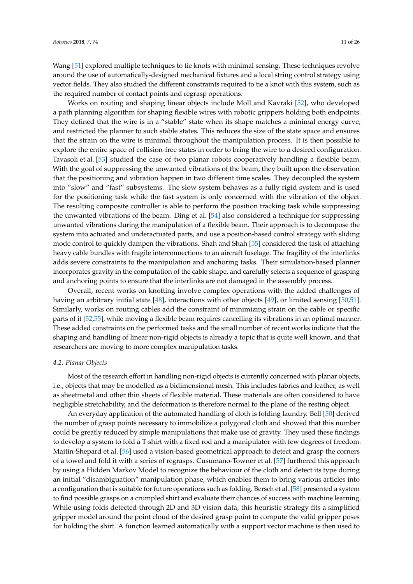Wang [\[51\]](#page-22-17) explored multiple techniques to tie knots with minimal sensing. These techniques revolve around the use of automatically-designed mechanical fixtures and a local string control strategy using vector fields. They also studied the different constraints required to tie a knot with this system, such as the required number of contact points and regrasp operations.

Works on routing and shaping linear objects include Moll and Kavraki [\[52\]](#page-22-18), who developed a path planning algorithm for shaping flexible wires with robotic grippers holding both endpoints. They defined that the wire is in a "stable" state when its shape matches a minimal energy curve, and restricted the planner to such stable states. This reduces the size of the state space and ensures that the strain on the wire is minimal throughout the manipulation process. It is then possible to explore the entire space of collision-free states in order to bring the wire to a desired configuration. Tavasoli et al. [\[53\]](#page-22-19) studied the case of two planar robots cooperatively handling a flexible beam. With the goal of suppressing the unwanted vibrations of the beam, they built upon the observation that the positioning and vibration happen in two different time scales. They decoupled the system into "slow" and "fast" subsystems. The slow system behaves as a fully rigid system and is used for the positioning task while the fast system is only concerned with the vibration of the object. The resulting composite controller is able to perform the position tracking task while suppressing the unwanted vibrations of the beam. Ding et al. [\[54\]](#page-22-20) also considered a technique for suppressing unwanted vibrations during the manipulation of a flexible beam. Their approach is to decompose the system into actuated and underactuated parts, and use a position-based control strategy with sliding mode control to quickly dampen the vibrations. Shah and Shah [\[55\]](#page-22-21) considered the task of attaching heavy cable bundles with fragile interconnections to an aircraft fuselage. The fragility of the interlinks adds severe constraints to the manipulation and anchoring tasks. Their simulation-based planner incorporates gravity in the computation of the cable shape, and carefully selects a sequence of grasping and anchoring points to ensure that the interlinks are not damaged in the assembly process.

Overall, recent works on knotting involve complex operations with the added challenges of having an arbitrary initial state [\[48\]](#page-22-14), interactions with other objects [\[49\]](#page-22-15), or limited sensing [\[50,](#page-22-16)[51\]](#page-22-17). Similarly, works on routing cables add the constraint of minimizing strain on the cable or specific parts of it [\[52,](#page-22-18)[55\]](#page-22-21), while moving a flexible beam requires cancelling its vibrations in an optimal manner. These added constraints on the performed tasks and the small number of recent works indicate that the shaping and handling of linear non-rigid objects is already a topic that is quite well known, and that researchers are moving to more complex manipulation tasks.

## <span id="page-10-0"></span>*4.2. Planar Objects*

Most of the research effort in handling non-rigid objects is currently concerned with planar objects, i.e., objects that may be modelled as a bidimensional mesh. This includes fabrics and leather, as well as sheetmetal and other thin sheets of flexible material. These materials are often considered to have negligible stretchability, and the deformation is therefore normal to the plane of the resting object.

An everyday application of the automated handling of cloth is folding laundry. Bell [\[50\]](#page-22-16) derived the number of grasp points necessary to immobilize a polygonal cloth and showed that this number could be greatly reduced by simple manipulations that make use of gravity. They used these findings to develop a system to fold a T-shirt with a fixed rod and a manipulator with few degrees of freedom. Maitin-Shepard et al. [\[56\]](#page-23-0) used a vision-based geometrical approach to detect and grasp the corners of a towel and fold it with a series of regrasps. Cusumano-Towner et al. [\[57\]](#page-23-1) furthered this approach by using a Hidden Markov Model to recognize the behaviour of the cloth and detect its type during an initial "disambiguation" manipulation phase, which enables them to bring various articles into a configuration that is suitable for future operations such as folding. Bersch et al. [\[58\]](#page-23-2) presented a system to find possible grasps on a crumpled shirt and evaluate their chances of success with machine learning. While using folds detected through 2D and 3D vision data, this heuristic strategy fits a simplified gripper model around the point cloud of the desired grasp point to compute the valid gripper poses for holding the shirt. A function learned automatically with a support vector machine is then used to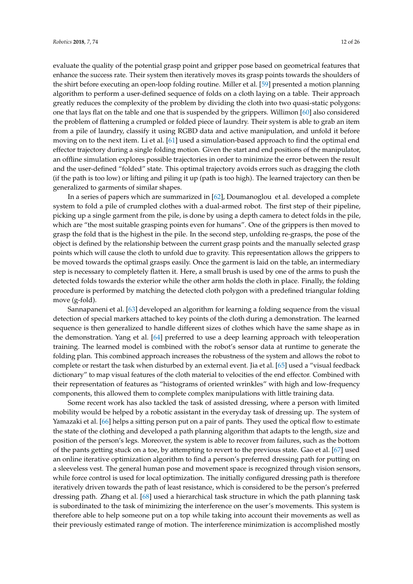evaluate the quality of the potential grasp point and gripper pose based on geometrical features that enhance the success rate. Their system then iteratively moves its grasp points towards the shoulders of the shirt before executing an open-loop folding routine. Miller et al. [\[59\]](#page-23-3) presented a motion planning algorithm to perform a user-defined sequence of folds on a cloth laying on a table. Their approach greatly reduces the complexity of the problem by dividing the cloth into two quasi-static polygons: one that lays flat on the table and one that is suspended by the grippers. Willimon [\[60\]](#page-23-4) also considered the problem of flattening a crumpled or folded piece of laundry. Their system is able to grab an item from a pile of laundry, classify it using RGBD data and active manipulation, and unfold it before moving on to the next item. Li et al. [\[61\]](#page-23-5) used a simulation-based approach to find the optimal end effector trajectory during a single folding motion. Given the start and end positions of the manipulator, an offline simulation explores possible trajectories in order to minimize the error between the result and the user-defined "folded" state. This optimal trajectory avoids errors such as dragging the cloth (if the path is too low) or lifting and piling it up (path is too high). The learned trajectory can then be generalized to garments of similar shapes.

In a series of papers which are summarized in [\[62\]](#page-23-6), Doumanoglou et al. developed a complete system to fold a pile of crumpled clothes with a dual-armed robot. The first step of their pipeline, picking up a single garment from the pile, is done by using a depth camera to detect folds in the pile, which are "the most suitable grasping points even for humans". One of the grippers is then moved to grasp the fold that is the highest in the pile. In the second step, unfolding re-grasps, the pose of the object is defined by the relationship between the current grasp points and the manually selected grasp points which will cause the cloth to unfold due to gravity. This representation allows the grippers to be moved towards the optimal grasps easily. Once the garment is laid on the table, an intermediary step is necessary to completely flatten it. Here, a small brush is used by one of the arms to push the detected folds towards the exterior while the other arm holds the cloth in place. Finally, the folding procedure is performed by matching the detected cloth polygon with a predefined triangular folding move (g-fold).

Sannapaneni et al. [\[63\]](#page-23-7) developed an algorithm for learning a folding sequence from the visual detection of special markers attached to key points of the cloth during a demonstration. The learned sequence is then generalized to handle different sizes of clothes which have the same shape as in the demonstration. Yang et al. [\[64\]](#page-23-8) preferred to use a deep learning approach with teleoperation training. The learned model is combined with the robot's sensor data at runtime to generate the folding plan. This combined approach increases the robustness of the system and allows the robot to complete or restart the task when disturbed by an external event. Jia et al. [\[65\]](#page-23-9) used a "visual feedback dictionary" to map visual features of the cloth material to velocities of the end effector. Combined with their representation of features as "histograms of oriented wrinkles" with high and low-frequency components, this allowed them to complete complex manipulations with little training data.

Some recent work has also tackled the task of assisted dressing, where a person with limited mobility would be helped by a robotic assistant in the everyday task of dressing up. The system of Yamazaki et al. [\[66\]](#page-23-10) helps a sitting person put on a pair of pants. They used the optical flow to estimate the state of the clothing and developed a path planning algorithm that adapts to the length, size and position of the person's legs. Moreover, the system is able to recover from failures, such as the bottom of the pants getting stuck on a toe, by attempting to revert to the previous state. Gao et al. [\[67\]](#page-23-11) used an online iterative optimization algorithm to find a person's preferred dressing path for putting on a sleeveless vest. The general human pose and movement space is recognized through vision sensors, while force control is used for local optimization. The initially configured dressing path is therefore iteratively driven towards the path of least resistance, which is considered to be the person's preferred dressing path. Zhang et al. [\[68\]](#page-23-12) used a hierarchical task structure in which the path planning task is subordinated to the task of minimizing the interference on the user's movements. This system is therefore able to help someone put on a top while taking into account their movements as well as their previously estimated range of motion. The interference minimization is accomplished mostly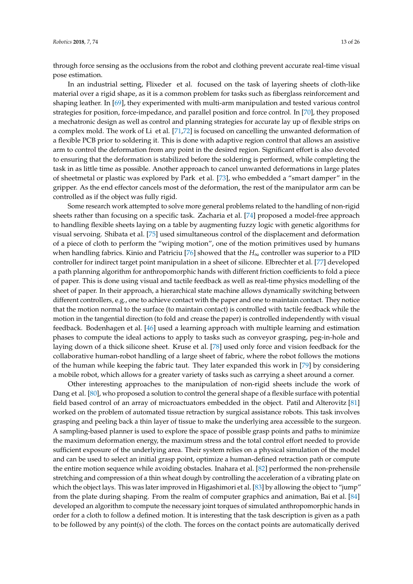through force sensing as the occlusions from the robot and clothing prevent accurate real-time visual pose estimation.

In an industrial setting, Flixeder et al. focused on the task of layering sheets of cloth-like material over a rigid shape, as it is a common problem for tasks such as fiberglass reinforcement and shaping leather. In [\[69\]](#page-23-13), they experimented with multi-arm manipulation and tested various control strategies for position, force-impedance, and parallel position and force control. In [\[70\]](#page-23-14), they proposed a mechatronic design as well as control and planning strategies for accurate lay up of flexible strips on a complex mold. The work of Li et al. [\[71,](#page-23-15)[72\]](#page-23-16) is focused on cancelling the unwanted deformation of a flexible PCB prior to soldering it. This is done with adaptive region control that allows an assistive arm to control the deformation from any point in the desired region. Significant effort is also devoted to ensuring that the deformation is stabilized before the soldering is performed, while completing the task in as little time as possible. Another approach to cancel unwanted deformations in large plates of sheetmetal or plastic was explored by Park et al. [\[73\]](#page-23-17), who embedded a "smart damper" in the gripper. As the end effector cancels most of the deformation, the rest of the manipulator arm can be controlled as if the object was fully rigid.

Some research work attempted to solve more general problems related to the handling of non-rigid sheets rather than focusing on a specific task. Zacharia et al. [\[74\]](#page-23-18) proposed a model-free approach to handling flexible sheets laying on a table by augmenting fuzzy logic with genetic algorithms for visual servoing. Shibata et al. [\[75\]](#page-23-19) used simultaneous control of the displacement and deformation of a piece of cloth to perform the "wiping motion", one of the motion primitives used by humans when handling fabrics. Kinio and Patriciu [\[76\]](#page-24-0) showed that the *H*∞ controller was superior to a PID controller for indirect target point manipulation in a sheet of silicone. Elbrechter et al. [\[77\]](#page-24-1) developed a path planning algorithm for anthropomorphic hands with different friction coefficients to fold a piece of paper. This is done using visual and tactile feedback as well as real-time physics modelling of the sheet of paper. In their approach, a hierarchical state machine allows dynamically switching between different controllers, e.g., one to achieve contact with the paper and one to maintain contact. They notice that the motion normal to the surface (to maintain contact) is controlled with tactile feedback while the motion in the tangential direction (to fold and crease the paper) is controlled independently with visual feedback. Bodenhagen et al. [\[46\]](#page-22-12) used a learning approach with multiple learning and estimation phases to compute the ideal actions to apply to tasks such as conveyor grasping, peg-in-hole and laying down of a thick silicone sheet. Kruse et al. [\[78\]](#page-24-2) used only force and vision feedback for the collaborative human-robot handling of a large sheet of fabric, where the robot follows the motions of the human while keeping the fabric taut. They later expanded this work in [\[79\]](#page-24-3) by considering a mobile robot, which allows for a greater variety of tasks such as carrying a sheet around a corner.

Other interesting approaches to the manipulation of non-rigid sheets include the work of Dang et al. [\[80\]](#page-24-4), who proposed a solution to control the general shape of a flexible surface with potential field based control of an array of microactuators embedded in the object. Patil and Alterovitz [\[81\]](#page-24-5) worked on the problem of automated tissue retraction by surgical assistance robots. This task involves grasping and peeling back a thin layer of tissue to make the underlying area accessible to the surgeon. A sampling-based planner is used to explore the space of possible grasp points and paths to minimize the maximum deformation energy, the maximum stress and the total control effort needed to provide sufficient exposure of the underlying area. Their system relies on a physical simulation of the model and can be used to select an initial grasp point, optimize a human-defined retraction path or compute the entire motion sequence while avoiding obstacles. Inahara et al. [\[82\]](#page-24-6) performed the non-prehensile stretching and compression of a thin wheat dough by controlling the acceleration of a vibrating plate on which the object lays. This was later improved in Higashimori et al. [\[83\]](#page-24-7) by allowing the object to "jump" from the plate during shaping. From the realm of computer graphics and animation, Bai et al. [\[84\]](#page-24-8) developed an algorithm to compute the necessary joint torques of simulated anthropomorphic hands in order for a cloth to follow a defined motion. It is interesting that the task description is given as a path to be followed by any point(s) of the cloth. The forces on the contact points are automatically derived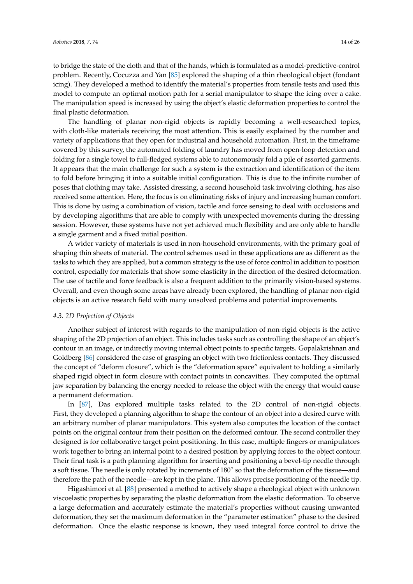to bridge the state of the cloth and that of the hands, which is formulated as a model-predictive-control problem. Recently, Cocuzza and Yan [\[85\]](#page-24-9) explored the shaping of a thin rheological object (fondant icing). They developed a method to identify the material's properties from tensile tests and used this model to compute an optimal motion path for a serial manipulator to shape the icing over a cake. The manipulation speed is increased by using the object's elastic deformation properties to control the final plastic deformation.

The handling of planar non-rigid objects is rapidly becoming a well-researched topics, with cloth-like materials receiving the most attention. This is easily explained by the number and variety of applications that they open for industrial and household automation. First, in the timeframe covered by this survey, the automated folding of laundry has moved from open-loop detection and folding for a single towel to full-fledged systems able to autonomously fold a pile of assorted garments. It appears that the main challenge for such a system is the extraction and identification of the item to fold before bringing it into a suitable initial configuration. This is due to the infinite number of poses that clothing may take. Assisted dressing, a second household task involving clothing, has also received some attention. Here, the focus is on eliminating risks of injury and increasing human comfort. This is done by using a combination of vision, tactile and force sensing to deal with occlusions and by developing algorithms that are able to comply with unexpected movements during the dressing session. However, these systems have not yet achieved much flexibility and are only able to handle a single garment and a fixed initial position.

A wider variety of materials is used in non-household environments, with the primary goal of shaping thin sheets of material. The control schemes used in these applications are as different as the tasks to which they are applied, but a common strategy is the use of force control in addition to position control, especially for materials that show some elasticity in the direction of the desired deformation. The use of tactile and force feedback is also a frequent addition to the primarily vision-based systems. Overall, and even though some areas have already been explored, the handling of planar non-rigid objects is an active research field with many unsolved problems and potential improvements.

## <span id="page-13-0"></span>*4.3. 2D Projection of Objects*

Another subject of interest with regards to the manipulation of non-rigid objects is the active shaping of the 2D projection of an object. This includes tasks such as controlling the shape of an object's contour in an image, or indirectly moving internal object points to specific targets. Gopalakrishnan and Goldberg [\[86\]](#page-24-10) considered the case of grasping an object with two frictionless contacts. They discussed the concept of "deform closure", which is the "deformation space" equivalent to holding a similarly shaped rigid object in form closure with contact points in concavities. They computed the optimal jaw separation by balancing the energy needed to release the object with the energy that would cause a permanent deformation.

In [\[87\]](#page-24-11), Das explored multiple tasks related to the 2D control of non-rigid objects. First, they developed a planning algorithm to shape the contour of an object into a desired curve with an arbitrary number of planar manipulators. This system also computes the location of the contact points on the original contour from their position on the deformed contour. The second controller they designed is for collaborative target point positioning. In this case, multiple fingers or manipulators work together to bring an internal point to a desired position by applying forces to the object contour. Their final task is a path planning algorithm for inserting and positioning a bevel-tip needle through a soft tissue. The needle is only rotated by increments of 180° so that the deformation of the tissue—and therefore the path of the needle—are kept in the plane. This allows precise positioning of the needle tip.

Higashimori et al. [\[88\]](#page-24-12) presented a method to actively shape a rheological object with unknown viscoelastic properties by separating the plastic deformation from the elastic deformation. To observe a large deformation and accurately estimate the material's properties without causing unwanted deformation, they set the maximum deformation in the "parameter estimation" phase to the desired deformation. Once the elastic response is known, they used integral force control to drive the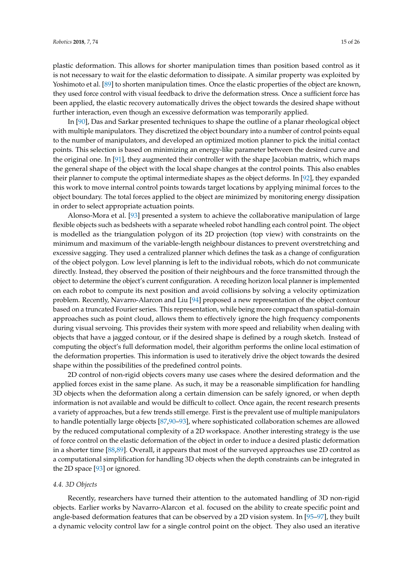plastic deformation. This allows for shorter manipulation times than position based control as it is not necessary to wait for the elastic deformation to dissipate. A similar property was exploited by Yoshimoto et al. [\[89\]](#page-24-13) to shorten manipulation times. Once the elastic properties of the object are known, they used force control with visual feedback to drive the deformation stress. Once a sufficient force has been applied, the elastic recovery automatically drives the object towards the desired shape without further interaction, even though an excessive deformation was temporarily applied.

In [\[90\]](#page-24-14), Das and Sarkar presented techniques to shape the outline of a planar rheological object with multiple manipulators. They discretized the object boundary into a number of control points equal to the number of manipulators, and developed an optimized motion planner to pick the initial contact points. This selection is based on minimizing an energy-like parameter between the desired curve and the original one. In [\[91\]](#page-24-15), they augmented their controller with the shape Jacobian matrix, which maps the general shape of the object with the local shape changes at the control points. This also enables their planner to compute the optimal intermediate shapes as the object deforms. In [\[92\]](#page-24-16), they expanded this work to move internal control points towards target locations by applying minimal forces to the object boundary. The total forces applied to the object are minimized by monitoring energy dissipation in order to select appropriate actuation points.

Alonso-Mora et al. [\[93\]](#page-24-17) presented a system to achieve the collaborative manipulation of large flexible objects such as bedsheets with a separate wheeled robot handling each control point. The object is modelled as the triangulation polygon of its 2D projection (top view) with constraints on the minimum and maximum of the variable-length neighbour distances to prevent overstretching and excessive sagging. They used a centralized planner which defines the task as a change of configuration of the object polygon. Low level planning is left to the individual robots, which do not communicate directly. Instead, they observed the position of their neighbours and the force transmitted through the object to determine the object's current configuration. A receding horizon local planner is implemented on each robot to compute its next position and avoid collisions by solving a velocity optimization problem. Recently, Navarro-Alarcon and Liu [\[94\]](#page-24-18) proposed a new representation of the object contour based on a truncated Fourier series. This representation, while being more compact than spatial-domain approaches such as point cloud, allows them to effectively ignore the high frequency components during visual servoing. This provides their system with more speed and reliability when dealing with objects that have a jagged contour, or if the desired shape is defined by a rough sketch. Instead of computing the object's full deformation model, their algorithm performs the online local estimation of the deformation properties. This information is used to iteratively drive the object towards the desired shape within the possibilities of the predefined control points.

2D control of non-rigid objects covers many use cases where the desired deformation and the applied forces exist in the same plane. As such, it may be a reasonable simplification for handling 3D objects when the deformation along a certain dimension can be safely ignored, or when depth information is not available and would be difficult to collect. Once again, the recent research presents a variety of approaches, but a few trends still emerge. First is the prevalent use of multiple manipulators to handle potentially large objects [\[87](#page-24-11)[,90](#page-24-14)[–93\]](#page-24-17), where sophisticated collaboration schemes are allowed by the reduced computational complexity of a 2D workspace. Another interesting strategy is the use of force control on the elastic deformation of the object in order to induce a desired plastic deformation in a shorter time [\[88,](#page-24-12)[89\]](#page-24-13). Overall, it appears that most of the surveyed approaches use 2D control as a computational simplification for handling 3D objects when the depth constraints can be integrated in the 2D space [\[93\]](#page-24-17) or ignored.

## <span id="page-14-0"></span>*4.4. 3D Objects*

Recently, researchers have turned their attention to the automated handling of 3D non-rigid objects. Earlier works by Navarro-Alarcon et al. focused on the ability to create specific point and angle-based deformation features that can be observed by a 2D vision system. In [\[95](#page-24-19)[–97\]](#page-25-0), they built a dynamic velocity control law for a single control point on the object. They also used an iterative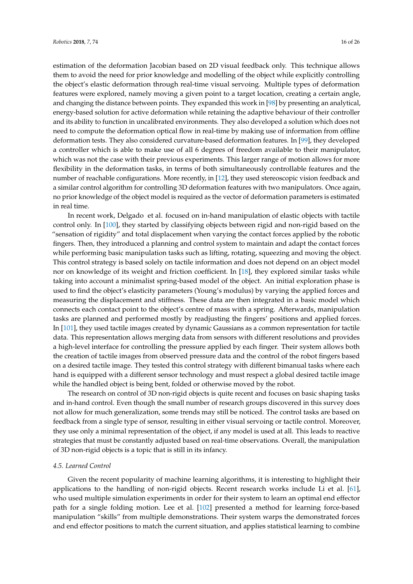estimation of the deformation Jacobian based on 2D visual feedback only. This technique allows them to avoid the need for prior knowledge and modelling of the object while explicitly controlling the object's elastic deformation through real-time visual servoing. Multiple types of deformation features were explored, namely moving a given point to a target location, creating a certain angle, and changing the distance between points. They expanded this work in [\[98\]](#page-25-1) by presenting an analytical, energy-based solution for active deformation while retaining the adaptive behaviour of their controller and its ability to function in uncalibrated environments. They also developed a solution which does not need to compute the deformation optical flow in real-time by making use of information from offline deformation tests. They also considered curvature-based deformation features. In [\[99\]](#page-25-2), they developed a controller which is able to make use of all 6 degrees of freedom available to their manipulator, which was not the case with their previous experiments. This larger range of motion allows for more flexibility in the deformation tasks, in terms of both simultaneously controllable features and the number of reachable configurations. More recently, in [\[12\]](#page-20-11), they used stereoscopic vision feedback and a similar control algorithm for controlling 3D deformation features with two manipulators. Once again, no prior knowledge of the object model is required as the vector of deformation parameters is estimated in real time.

In recent work, Delgado et al. focused on in-hand manipulation of elastic objects with tactile control only. In [\[100\]](#page-25-3), they started by classifying objects between rigid and non-rigid based on the "sensation of rigidity" and total displacement when varying the contact forces applied by the robotic fingers. Then, they introduced a planning and control system to maintain and adapt the contact forces while performing basic manipulation tasks such as lifting, rotating, squeezing and moving the object. This control strategy is based solely on tactile information and does not depend on an object model nor on knowledge of its weight and friction coefficient. In [\[18\]](#page-21-3), they explored similar tasks while taking into account a minimalist spring-based model of the object. An initial exploration phase is used to find the object's elasticity parameters (Young's modulus) by varying the applied forces and measuring the displacement and stiffness. These data are then integrated in a basic model which connects each contact point to the object's centre of mass with a spring. Afterwards, manipulation tasks are planned and performed mostly by readjusting the fingers' positions and applied forces. In [\[101\]](#page-25-4), they used tactile images created by dynamic Gaussians as a common representation for tactile data. This representation allows merging data from sensors with different resolutions and provides a high-level interface for controlling the pressure applied by each finger. Their system allows both the creation of tactile images from observed pressure data and the control of the robot fingers based on a desired tactile image. They tested this control strategy with different bimanual tasks where each hand is equipped with a different sensor technology and must respect a global desired tactile image while the handled object is being bent, folded or otherwise moved by the robot.

The research on control of 3D non-rigid objects is quite recent and focuses on basic shaping tasks and in-hand control. Even though the small number of research groups discovered in this survey does not allow for much generalization, some trends may still be noticed. The control tasks are based on feedback from a single type of sensor, resulting in either visual servoing or tactile control. Moreover, they use only a minimal representation of the object, if any model is used at all. This leads to reactive strategies that must be constantly adjusted based on real-time observations. Overall, the manipulation of 3D non-rigid objects is a topic that is still in its infancy.

#### <span id="page-15-0"></span>*4.5. Learned Control*

Given the recent popularity of machine learning algorithms, it is interesting to highlight their applications to the handling of non-rigid objects. Recent research works include Li et al. [\[61\]](#page-23-5), who used multiple simulation experiments in order for their system to learn an optimal end effector path for a single folding motion. Lee et al. [\[102\]](#page-25-5) presented a method for learning force-based manipulation "skills" from multiple demonstrations. Their system warps the demonstrated forces and end effector positions to match the current situation, and applies statistical learning to combine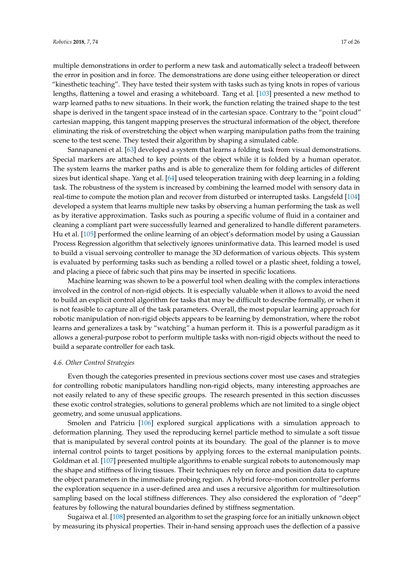multiple demonstrations in order to perform a new task and automatically select a tradeoff between the error in position and in force. The demonstrations are done using either teleoperation or direct "kinesthetic teaching". They have tested their system with tasks such as tying knots in ropes of various lengths, flattening a towel and erasing a whiteboard. Tang et al. [\[103\]](#page-25-6) presented a new method to warp learned paths to new situations. In their work, the function relating the trained shape to the test shape is derived in the tangent space instead of in the cartesian space. Contrary to the "point cloud" cartesian mapping, this tangent mapping preserves the structural information of the object, therefore eliminating the risk of overstretching the object when warping manipulation paths from the training scene to the test scene. They tested their algorithm by shaping a simulated cable.

Sannapaneni et al. [\[63\]](#page-23-7) developed a system that learns a folding task from visual demonstrations. Special markers are attached to key points of the object while it is folded by a human operator. The system learns the marker paths and is able to generalize them for folding articles of different sizes but identical shape. Yang et al. [\[64\]](#page-23-8) used teleoperation training with deep learning in a folding task. The robustness of the system is increased by combining the learned model with sensory data in real-time to compute the motion plan and recover from disturbed or interrupted tasks. Langsfeld [\[104\]](#page-25-7) developed a system that learns multiple new tasks by observing a human performing the task as well as by iterative approximation. Tasks such as pouring a specific volume of fluid in a container and cleaning a compliant part were successfully learned and generalized to handle different parameters. Hu et al. [\[105\]](#page-25-8) performed the online learning of an object's deformation model by using a Gaussian Process Regression algorithm that selectively ignores uninformative data. This learned model is used to build a visual servoing controller to manage the 3D deformation of various objects. This system is evaluated by performing tasks such as bending a rolled towel or a plastic sheet, folding a towel, and placing a piece of fabric such that pins may be inserted in specific locations.

Machine learning was shown to be a powerful tool when dealing with the complex interactions involved in the control of non-rigid objects. It is especially valuable when it allows to avoid the need to build an explicit control algorithm for tasks that may be difficult to describe formally, or when it is not feasible to capture all of the task parameters. Overall, the most popular learning approach for robotic manipulation of non-rigid objects appears to be learning by demonstration, where the robot learns and generalizes a task by "watching" a human perform it. This is a powerful paradigm as it allows a general-purpose robot to perform multiple tasks with non-rigid objects without the need to build a separate controller for each task.

## <span id="page-16-0"></span>*4.6. Other Control Strategies*

Even though the categories presented in previous sections cover most use cases and strategies for controlling robotic manipulators handling non-rigid objects, many interesting approaches are not easily related to any of these specific groups. The research presented in this section discusses these exotic control strategies, solutions to general problems which are not limited to a single object geometry, and some unusual applications.

Smolen and Patriciu [\[106\]](#page-25-9) explored surgical applications with a simulation approach to deformation planning. They used the reproducing kernel particle method to simulate a soft tissue that is manipulated by several control points at its boundary. The goal of the planner is to move internal control points to target positions by applying forces to the external manipulation points. Goldman et al. [\[107\]](#page-25-10) presented multiple algorithms to enable surgical robots to autonomously map the shape and stiffness of living tissues. Their techniques rely on force and position data to capture the object parameters in the immediate probing region. A hybrid force–motion controller performs the exploration sequence in a user-defined area and uses a recursive algorithm for multiresolution sampling based on the local stiffness differences. They also considered the exploration of "deep" features by following the natural boundaries defined by stiffness segmentation.

Sugaiwa et al. [\[108\]](#page-25-11) presented an algorithm to set the grasping force for an initially unknown object by measuring its physical properties. Their in-hand sensing approach uses the deflection of a passive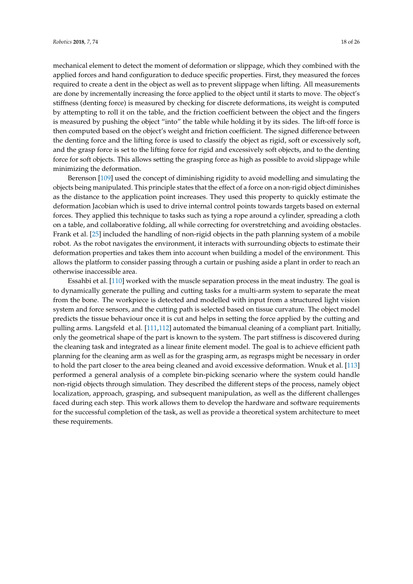mechanical element to detect the moment of deformation or slippage, which they combined with the applied forces and hand configuration to deduce specific properties. First, they measured the forces required to create a dent in the object as well as to prevent slippage when lifting. All measurements are done by incrementally increasing the force applied to the object until it starts to move. The object's stiffness (denting force) is measured by checking for discrete deformations, its weight is computed by attempting to roll it on the table, and the friction coefficient between the object and the fingers is measured by pushing the object "into" the table while holding it by its sides. The lift-off force is then computed based on the object's weight and friction coefficient. The signed difference between the denting force and the lifting force is used to classify the object as rigid, soft or excessively soft, and the grasp force is set to the lifting force for rigid and excessively soft objects, and to the denting force for soft objects. This allows setting the grasping force as high as possible to avoid slippage while minimizing the deformation.

Berenson [\[109\]](#page-25-12) used the concept of diminishing rigidity to avoid modelling and simulating the objects being manipulated. This principle states that the effect of a force on a non-rigid object diminishes as the distance to the application point increases. They used this property to quickly estimate the deformation Jacobian which is used to drive internal control points towards targets based on external forces. They applied this technique to tasks such as tying a rope around a cylinder, spreading a cloth on a table, and collaborative folding, all while correcting for overstretching and avoiding obstacles. Frank et al. [\[25\]](#page-21-10) included the handling of non-rigid objects in the path planning system of a mobile robot. As the robot navigates the environment, it interacts with surrounding objects to estimate their deformation properties and takes them into account when building a model of the environment. This allows the platform to consider passing through a curtain or pushing aside a plant in order to reach an otherwise inaccessible area.

Essahbi et al. [\[110\]](#page-25-13) worked with the muscle separation process in the meat industry. The goal is to dynamically generate the pulling and cutting tasks for a multi-arm system to separate the meat from the bone. The workpiece is detected and modelled with input from a structured light vision system and force sensors, and the cutting path is selected based on tissue curvature. The object model predicts the tissue behaviour once it is cut and helps in setting the force applied by the cutting and pulling arms. Langsfeld et al. [\[111,](#page-25-14)[112\]](#page-25-15) automated the bimanual cleaning of a compliant part. Initially, only the geometrical shape of the part is known to the system. The part stiffness is discovered during the cleaning task and integrated as a linear finite element model. The goal is to achieve efficient path planning for the cleaning arm as well as for the grasping arm, as regrasps might be necessary in order to hold the part closer to the area being cleaned and avoid excessive deformation. Wnuk et al. [\[113\]](#page-25-16) performed a general analysis of a complete bin-picking scenario where the system could handle non-rigid objects through simulation. They described the different steps of the process, namely object localization, approach, grasping, and subsequent manipulation, as well as the different challenges faced during each step. This work allows them to develop the hardware and software requirements for the successful completion of the task, as well as provide a theoretical system architecture to meet these requirements.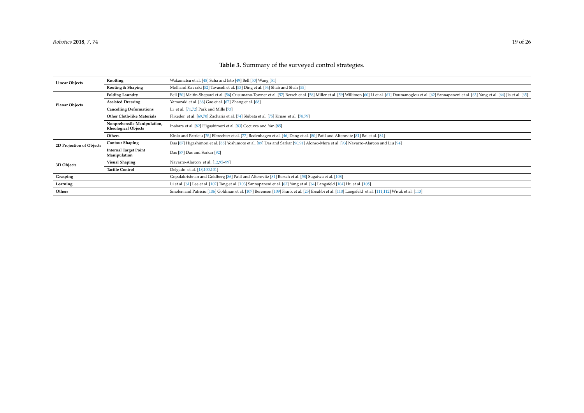# **Table 3.** Summary of the surveyed control strategies.

<span id="page-18-0"></span>

| Knotting                                                  | Wakamatsu et al. [48] Saha and Isto [49] Bell [50] Wang [51]                                                                                                                                                         |  |  |  |  |  |  |  |
|-----------------------------------------------------------|----------------------------------------------------------------------------------------------------------------------------------------------------------------------------------------------------------------------|--|--|--|--|--|--|--|
| Routing & Shaping                                         | Moll and Kavraki [52] Tavasoli et al. [53] Ding et al. [54] Shah and Shah [55]                                                                                                                                       |  |  |  |  |  |  |  |
| <b>Folding Laundry</b>                                    | Bell [50] Maitin-Shepard et al. [56] Cusumano-Towner et al. [57] Bersch et al. [58] Miller et al. [58] Willimon [60] Li et al. [61] Doumanoglou et al. [62] Sannapaneni et al. [63] Yang et al. [64] Jia et al. [65] |  |  |  |  |  |  |  |
| <b>Assisted Dressing</b>                                  | Yamazaki et al. [66] Gao et al. [67] Zhang et al. [68]                                                                                                                                                               |  |  |  |  |  |  |  |
| <b>Cancelling Deformations</b>                            | Li et al. [71,72] Park and Mills [73]                                                                                                                                                                                |  |  |  |  |  |  |  |
| <b>Other Cloth-like Materials</b>                         | Flixeder et al. [69,70] Zacharia et al. [74] Shibata et al. [75] Kruse et al. [78,79]                                                                                                                                |  |  |  |  |  |  |  |
| Nonprehensile Manipulation,<br><b>Rheological Objects</b> | Inahara et al. [82] Higashimori et al. [83] Cocuzza and Yan [85]                                                                                                                                                     |  |  |  |  |  |  |  |
| Others                                                    | Kinio and Patriciu [76] Elbrechter et al. [77] Bodenhagen et al. [46] Dang et al. [80] Patil and Alterovitz [81] Bai et al. [84]                                                                                     |  |  |  |  |  |  |  |
| <b>Contour Shaping</b>                                    | Das [87] Higashimori et al. [88] Yoshimoto et al. [89] Das and Sarkar [90,91] Alonso-Mora et al. [93] Navarro-Alarcon and Liu [94]                                                                                   |  |  |  |  |  |  |  |
| <b>Internal Target Point</b><br>Manipulation              | Das [87] Das and Sarkar [92]                                                                                                                                                                                         |  |  |  |  |  |  |  |
| <b>Visual Shaping</b>                                     | Navarro-Alarcon et al. [12,95-99]                                                                                                                                                                                    |  |  |  |  |  |  |  |
| <b>Tactile Control</b>                                    | Delgado et al. [18,100,101]                                                                                                                                                                                          |  |  |  |  |  |  |  |
|                                                           | Gopalakrishnan and Goldberg [86] Patil and Alterovitz [81] Bersch et al. [58] Sugaiwa et al. [108]                                                                                                                   |  |  |  |  |  |  |  |
|                                                           | Li et al. [61] Lee et al. [102] Tang et al. [103] Sannapaneni et al. [63] Yang et al. [64] Langsfeld [104] Hu et al. [105]                                                                                           |  |  |  |  |  |  |  |
|                                                           | Smolen and Patriciu [106] Goldman et al. [107] Berenson [109] Frank et al. [25] Essahbi et al. [110] Langsfeld et al. [111,112] Wnuk et al. [113]                                                                    |  |  |  |  |  |  |  |
|                                                           |                                                                                                                                                                                                                      |  |  |  |  |  |  |  |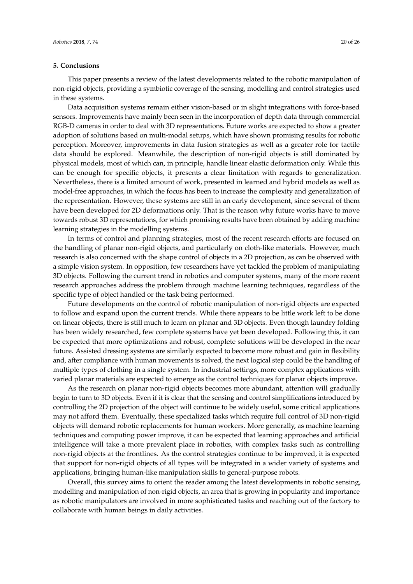## **5. Conclusions**

This paper presents a review of the latest developments related to the robotic manipulation of non-rigid objects, providing a symbiotic coverage of the sensing, modelling and control strategies used in these systems.

Data acquisition systems remain either vision-based or in slight integrations with force-based sensors. Improvements have mainly been seen in the incorporation of depth data through commercial RGB-D cameras in order to deal with 3D representations. Future works are expected to show a greater adoption of solutions based on multi-modal setups, which have shown promising results for robotic perception. Moreover, improvements in data fusion strategies as well as a greater role for tactile data should be explored. Meanwhile, the description of non-rigid objects is still dominated by physical models, most of which can, in principle, handle linear elastic deformation only. While this can be enough for specific objects, it presents a clear limitation with regards to generalization. Nevertheless, there is a limited amount of work, presented in learned and hybrid models as well as model-free approaches, in which the focus has been to increase the complexity and generalization of the representation. However, these systems are still in an early development, since several of them have been developed for 2D deformations only. That is the reason why future works have to move towards robust 3D representations, for which promising results have been obtained by adding machine learning strategies in the modelling systems.

In terms of control and planning strategies, most of the recent research efforts are focused on the handling of planar non-rigid objects, and particularly on cloth-like materials. However, much research is also concerned with the shape control of objects in a 2D projection, as can be observed with a simple vision system. In opposition, few researchers have yet tackled the problem of manipulating 3D objects. Following the current trend in robotics and computer systems, many of the more recent research approaches address the problem through machine learning techniques, regardless of the specific type of object handled or the task being performed.

Future developments on the control of robotic manipulation of non-rigid objects are expected to follow and expand upon the current trends. While there appears to be little work left to be done on linear objects, there is still much to learn on planar and 3D objects. Even though laundry folding has been widely researched, few complete systems have yet been developed. Following this, it can be expected that more optimizations and robust, complete solutions will be developed in the near future. Assisted dressing systems are similarly expected to become more robust and gain in flexibility and, after compliance with human movements is solved, the next logical step could be the handling of multiple types of clothing in a single system. In industrial settings, more complex applications with varied planar materials are expected to emerge as the control techniques for planar objects improve.

As the research on planar non-rigid objects becomes more abundant, attention will gradually begin to turn to 3D objects. Even if it is clear that the sensing and control simplifications introduced by controlling the 2D projection of the object will continue to be widely useful, some critical applications may not afford them. Eventually, these specialized tasks which require full control of 3D non-rigid objects will demand robotic replacements for human workers. More generally, as machine learning techniques and computing power improve, it can be expected that learning approaches and artificial intelligence will take a more prevalent place in robotics, with complex tasks such as controlling non-rigid objects at the frontlines. As the control strategies continue to be improved, it is expected that support for non-rigid objects of all types will be integrated in a wider variety of systems and applications, bringing human-like manipulation skills to general-purpose robots.

Overall, this survey aims to orient the reader among the latest developments in robotic sensing, modelling and manipulation of non-rigid objects, an area that is growing in popularity and importance as robotic manipulators are involved in more sophisticated tasks and reaching out of the factory to collaborate with human beings in daily activities.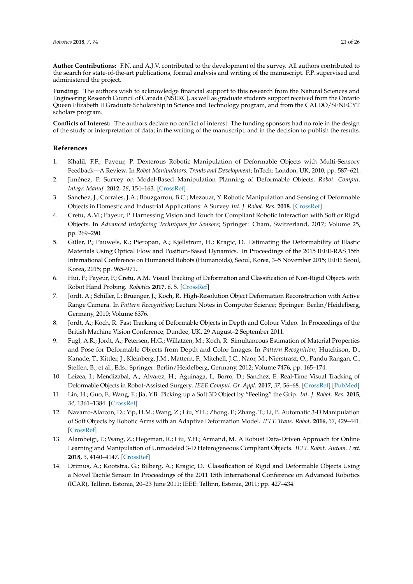**Author Contributions:** F.N. and A.J.V. contributed to the development of the survey. All authors contributed to the search for state-of-the-art publications, formal analysis and writing of the manuscript. P.P. supervised and administered the project.

**Funding:** The authors wish to acknowledge financial support to this research from the Natural Sciences and Engineering Research Council of Canada (NSERC), as well as graduate students support received from the Ontario Queen Elizabeth II Graduate Scholarship in Science and Technology program, and from the CALDO/SENECYT scholars program.

**Conflicts of Interest:** The authors declare no conflict of interest. The funding sponsors had no role in the design of the study or interpretation of data; in the writing of the manuscript, and in the decision to publish the results.

## **References**

- <span id="page-20-0"></span>1. Khalil, F.F.; Payeur, P. Dexterous Robotic Manipulation of Deformable Objects with Multi-Sensory Feedback—A Review. In *Robot Manipulators, Trends and Development*; InTech: London, UK, 2010; pp. 587–621.
- <span id="page-20-1"></span>2. Jiménez, P. Survey on Model-Based Manipulation Planning of Deformable Objects. *Robot. Comput. Integr. Manuf.* **2012**, *28*, 154–163. [\[CrossRef\]](http://dx.doi.org/10.1016/j.rcim.2011.08.002)
- <span id="page-20-2"></span>3. Sanchez, J.; Corrales, J.A.; Bouzgarrou, B.C.; Mezouar, Y. Robotic Manipulation and Sensing of Deformable Objects in Domestic and Industrial Applications: A Survey. *Int. J. Robot. Res.* **2018**. [\[CrossRef\]](http://dx.doi.org/10.1177/0278364918779698)
- <span id="page-20-3"></span>4. Cretu, A.M.; Payeur, P. Harnessing Vision and Touch for Compliant Robotic Interaction with Soft or Rigid Objects. In *Advanced Interfacing Techniques for Sensors*; Springer: Cham, Switzerland, 2017; Volume 25, pp. 269–290.
- <span id="page-20-4"></span>5. Güler, P.; Pauwels, K.; Pieropan, A.; Kjellstrom, H.; Kragic, D. Estimating the Deformability of Elastic Materials Using Optical Flow and Position-Based Dynamics. In Proceedings of the 2015 IEEE-RAS 15th International Conference on Humanoid Robots (Humanoids), Seoul, Korea, 3–5 November 2015; IEEE: Seoul, Korea, 2015; pp. 965–971.
- <span id="page-20-5"></span>6. Hui, F.; Payeur, P.; Cretu, A.M. Visual Tracking of Deformation and Classification of Non-Rigid Objects with Robot Hand Probing. *Robotics* **2017**, *6*, 5. [\[CrossRef\]](http://dx.doi.org/10.3390/robotics6010005)
- <span id="page-20-6"></span>7. Jordt, A.; Schiller, I.; Bruenger, J.; Koch, R. High-Resolution Object Deformation Reconstruction with Active Range Camera. In *Pattern Recognition*; Lecture Notes in Computer Science; Springer: Berlin/Heidelberg, Germany, 2010; Volume 6376.
- <span id="page-20-7"></span>8. Jordt, A.; Koch, R. Fast Tracking of Deformable Objects in Depth and Colour Video. In Proceedings of the British Machine Vision Conference, Dundee, UK, 29 August–2 September 2011.
- <span id="page-20-8"></span>9. Fugl, A.R.; Jordt, A.; Petersen, H.G.; Willatzen, M.; Koch, R. Simultaneous Estimation of Material Properties and Pose for Deformable Objects from Depth and Color Images. In *Pattern Recognition*; Hutchison, D., Kanade, T., Kittler, J., Kleinberg, J.M., Mattern, F., Mitchell, J.C., Naor, M., Nierstrasz, O., Pandu Rangan, C., Steffen, B., et al., Eds.; Springer: Berlin/Heidelberg, Germany, 2012; Volume 7476, pp. 165–174.
- <span id="page-20-9"></span>10. Leizea, I.; Mendizabal, A.; Alvarez, H.; Aguinaga, I.; Borro, D.; Sanchez, E. Real-Time Visual Tracking of Deformable Objects in Robot-Assisted Surgery. *IEEE Comput. Gr. Appl.* **2017**, *37*, 56–68. [\[CrossRef\]](http://dx.doi.org/10.1109/MCG.2015.96) [\[PubMed\]](http://www.ncbi.nlm.nih.gov/pubmed/26441410)
- <span id="page-20-10"></span>11. Lin, H.; Guo, F.; Wang, F.; Jia, Y.B. Picking up a Soft 3D Object by "Feeling" the Grip. *Int. J. Robot. Res.* **2015**, *34*, 1361–1384. [\[CrossRef\]](http://dx.doi.org/10.1177/0278364914564232)
- <span id="page-20-11"></span>12. Navarro-Alarcon, D.; Yip, H.M.; Wang, Z.; Liu, Y.H.; Zhong, F.; Zhang, T.; Li, P. Automatic 3-D Manipulation of Soft Objects by Robotic Arms with an Adaptive Deformation Model. *IEEE Trans. Robot.* **2016**, *32*, 429–441. [\[CrossRef\]](http://dx.doi.org/10.1109/TRO.2016.2533639)
- <span id="page-20-12"></span>13. Alambeigi, F.; Wang, Z.; Hegeman, R.; Liu, Y.H.; Armand, M. A Robust Data-Driven Approach for Online Learning and Manipulation of Unmodeled 3-D Heterogeneous Compliant Objects. *IEEE Robot. Autom. Lett.* **2018**, *3*, 4140–4147. [\[CrossRef\]](http://dx.doi.org/10.1109/LRA.2018.2863376)
- <span id="page-20-13"></span>14. Drimus, A.; Kootstra, G.; Bilberg, A.; Kragic, D. Classification of Rigid and Deformable Objects Using a Novel Tactile Sensor. In Proceedings of the 2011 15th International Conference on Advanced Robotics (ICAR), Tallinn, Estonia, 20–23 June 2011; IEEE: Tallinn, Estonia, 2011; pp. 427–434.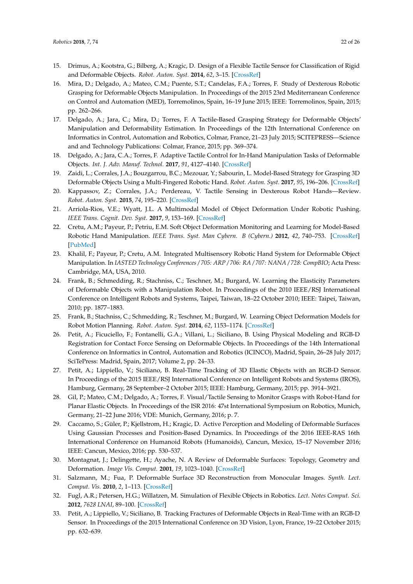- <span id="page-21-19"></span><span id="page-21-0"></span>15. Drimus, A.; Kootstra, G.; Bilberg, A.; Kragic, D. Design of a Flexible Tactile Sensor for Classification of Rigid and Deformable Objects. *Robot. Auton. Syst.* **2014**, *62*, 3–15. [\[CrossRef\]](http://dx.doi.org/10.1016/j.robot.2012.07.021)
- <span id="page-21-1"></span>16. Mira, D.; Delgado, A.; Mateo, C.M.; Puente, S.T.; Candelas, F.A.; Torres, F. Study of Dexterous Robotic Grasping for Deformable Objects Manipulation. In Proceedings of the 2015 23rd Mediterranean Conference on Control and Automation (MED), Torremolinos, Spain, 16–19 June 2015; IEEE: Torremolinos, Spain, 2015; pp. 262–266.
- <span id="page-21-2"></span>17. Delgado, A.; Jara, C.; Mira, D.; Torres, F. A Tactile-Based Grasping Strategy for Deformable Objects' Manipulation and Deformability Estimation. In Proceedings of the 12th International Conference on Informatics in Control, Automation and Robotics, Colmar, France, 21–23 July 2015; SCITEPRESS—Science and and Technology Publications: Colmar, France, 2015; pp. 369–374.
- <span id="page-21-20"></span><span id="page-21-3"></span>18. Delgado, A.; Jara, C.A.; Torres, F. Adaptive Tactile Control for In-Hand Manipulation Tasks of Deformable Objects. *Int. J. Adv. Manuf. Technol.* **2017**, *91*, 4127–4140. [\[CrossRef\]](http://dx.doi.org/10.1007/s00170-017-0046-2)
- <span id="page-21-4"></span>19. Zaidi, L.; Corrales, J.A.; Bouzgarrou, B.C.; Mezouar, Y.; Sabourin, L. Model-Based Strategy for Grasping 3D Deformable Objects Using a Multi-Fingered Robotic Hand. *Robot. Auton. Syst.* **2017**, *95*, 196–206. [\[CrossRef\]](http://dx.doi.org/10.1016/j.robot.2017.06.011)
- <span id="page-21-5"></span>20. Kappassov, Z.; Corrales, J.A.; Perdereau, V. Tactile Sensing in Dexterous Robot Hands—Review. *Robot. Auton. Syst.* **2015**, *74*, 195–220. [\[CrossRef\]](http://dx.doi.org/10.1016/j.robot.2015.07.015)
- <span id="page-21-6"></span>21. Arriola-Rios, V.E.; Wyatt, J.L. A Multimodal Model of Object Deformation Under Robotic Pushing. *IEEE Trans. Cognit. Dev. Syst.* **2017**, *9*, 153–169. [\[CrossRef\]](http://dx.doi.org/10.1109/TCDS.2017.2664058)
- <span id="page-21-7"></span>22. Cretu, A.M.; Payeur, P.; Petriu, E.M. Soft Object Deformation Monitoring and Learning for Model-Based Robotic Hand Manipulation. *IEEE Trans. Syst. Man Cybern. B (Cybern.)* **2012**, *42*, 740–753. [\[CrossRef\]](http://dx.doi.org/10.1109/TSMCB.2011.2176115) [\[PubMed\]](http://www.ncbi.nlm.nih.gov/pubmed/22207640)
- <span id="page-21-8"></span>23. Khalil, F.; Payeur, P.; Cretu, A.M. Integrated Multisensory Robotic Hand System for Deformable Object Manipulation. In *IASTED Technology Conferences / 705: ARP / 706: RA / 707: NANA / 728: CompBIO*; Acta Press: Cambridge, MA, USA, 2010.
- <span id="page-21-9"></span>24. Frank, B.; Schmedding, R.; Stachniss, C.; Teschner, M.; Burgard, W. Learning the Elasticity Parameters of Deformable Objects with a Manipulation Robot. In Proceedings of the 2010 IEEE/RSJ International Conference on Intelligent Robots and Systems, Taipei, Taiwan, 18–22 October 2010; IEEE: Taipei, Taiwan, 2010; pp. 1877–1883.
- <span id="page-21-10"></span>25. Frank, B.; Stachniss, C.; Schmedding, R.; Teschner, M.; Burgard, W. Learning Object Deformation Models for Robot Motion Planning. *Robot. Auton. Syst.* **2014**, *62*, 1153–1174. [\[CrossRef\]](http://dx.doi.org/10.1016/j.robot.2014.04.005)
- <span id="page-21-11"></span>26. Petit, A.; Ficuciello, F.; Fontanelli, G.A.; Villani, L.; Siciliano, B. Using Physical Modeling and RGB-D Registration for Contact Force Sensing on Deformable Objects. In Proceedings of the 14th International Conference on Informatics in Control, Automation and Robotics (ICINCO), Madrid, Spain, 26–28 July 2017; SciTePress: Madrid, Spain, 2017; Volume 2, pp. 24–33.
- <span id="page-21-12"></span>27. Petit, A.; Lippiello, V.; Siciliano, B. Real-Time Tracking of 3D Elastic Objects with an RGB-D Sensor. In Proceedings of the 2015 IEEE/RSJ International Conference on Intelligent Robots and Systems (IROS), Hamburg, Germany, 28 September–2 October 2015; IEEE: Hamburg, Germany, 2015; pp. 3914–3921.
- <span id="page-21-13"></span>28. Gil, P.; Mateo, C.M.; Delgado, A.; Torres, F. Visual/Tactile Sensing to Monitor Grasps with Robot-Hand for Planar Elastic Objects. In Proceedings of the ISR 2016: 47st International Symposium on Robotics, Munich, Germany, 21–22 June 2016; VDE: Munich, Germany, 2016; p. 7.
- <span id="page-21-14"></span>29. Caccamo, S.; Güler, P.; Kjellstrom, H.; Kragic, D. Active Perception and Modeling of Deformable Surfaces Using Gaussian Processes and Position-Based Dynamics. In Proceedings of the 2016 IEEE-RAS 16th International Conference on Humanoid Robots (Humanoids), Cancun, Mexico, 15–17 November 2016; IEEE: Cancun, Mexico, 2016; pp. 530–537.
- <span id="page-21-15"></span>30. Montagnat, J.; Delingette, H.; Ayache, N. A Review of Deformable Surfaces: Topology, Geometry and Deformation. *Image Vis. Comput.* **2001**, *19*, 1023–1040. [\[CrossRef\]](http://dx.doi.org/10.1016/S0262-8856(01)00064-6)
- <span id="page-21-16"></span>31. Salzmann, M.; Fua, P. Deformable Surface 3D Reconstruction from Monocular Images. *Synth. Lect. Comput. Vis.* **2010**, *2*, 1–113. [\[CrossRef\]](http://dx.doi.org/10.2200/S00319ED1V01Y201012COV003)
- <span id="page-21-17"></span>32. Fugl, A.R.; Petersen, H.G.; Willatzen, M. Simulation of Flexible Objects in Robotics. *Lect. Notes Comput. Sci.* **2012**, *7628 LNAI*, 89–100. [\[CrossRef\]](http://dx.doi.org/10.1007/978-3-642-34327-8_11)
- <span id="page-21-18"></span>33. Petit, A.; Lippiello, V.; Siciliano, B. Tracking Fractures of Deformable Objects in Real-Time with an RGB-D Sensor. In Proceedings of the 2015 International Conference on 3D Vision, Lyon, France, 19–22 October 2015; pp. 632–639.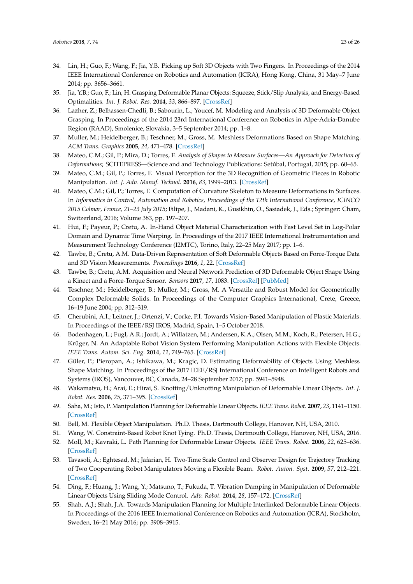- <span id="page-22-0"></span>34. Lin, H.; Guo, F.; Wang, F.; Jia, Y.B. Picking up Soft 3D Objects with Two Fingers. In Proceedings of the 2014 IEEE International Conference on Robotics and Automation (ICRA), Hong Kong, China, 31 May–7 June 2014; pp. 3656–3661.
- <span id="page-22-1"></span>35. Jia, Y.B.; Guo, F.; Lin, H. Grasping Deformable Planar Objects: Squeeze, Stick/Slip Analysis, and Energy-Based Optimalities. *Int. J. Robot. Res.* **2014**, *33*, 866–897. [\[CrossRef\]](http://dx.doi.org/10.1177/0278364913512170)
- <span id="page-22-2"></span>36. Lazher, Z.; Belhassen-Chedli, B.; Sabourin, L.; Youcef, M. Modeling and Analysis of 3D Deformable Object Grasping. In Proceedings of the 2014 23rd International Conference on Robotics in Alpe-Adria-Danube Region (RAAD), Smolenice, Slovakia, 3–5 September 2014; pp. 1–8.
- <span id="page-22-3"></span>37. Muller, M.; Heidelberger, B.; Teschner, M.; Gross, M. Meshless Deformations Based on Shape Matching. *ACM Trans. Graphics* **2005**, *24*, 471–478. [\[CrossRef\]](http://dx.doi.org/10.1145/1073204.1073216)
- <span id="page-22-28"></span><span id="page-22-4"></span>38. Mateo, C.M.; Gil, P.; Mira, D.; Torres, F. *Analysis of Shapes to Measure Surfaces—An Approach for Detection of Deformations*; SCITEPRESS—Science and and Technology Publications: Setúbal, Portugal, 2015; pp. 60–65.
- <span id="page-22-5"></span>39. Mateo, C.M.; Gil, P.; Torres, F. Visual Perception for the 3D Recognition of Geometric Pieces in Robotic Manipulation. *Int. J. Adv. Manuf. Technol.* **2016**, *83*, 1999–2013. [\[CrossRef\]](http://dx.doi.org/10.1007/s00170-015-7708-8)
- <span id="page-22-6"></span>40. Mateo, C.M.; Gil, P.; Torres, F. Computation of Curvature Skeleton to Measure Deformations in Surfaces. In *Informatics in Control, Automation and Robotics, Proceedings of the 12th International Conference, ICINCO 2015 Colmar, France, 21–23 July 2015*; Filipe, J., Madani, K., Gusikhin, O., Sasiadek, J., Eds.; Springer: Cham, Switzerland, 2016; Volume 383, pp. 197–207.
- <span id="page-22-23"></span><span id="page-22-22"></span><span id="page-22-7"></span>41. Hui, F.; Payeur, P.; Cretu, A. In-Hand Object Material Characterization with Fast Level Set in Log-Polar Domain and Dynamic Time Warping. In Proceedings of the 2017 IEEE International Instrumentation and Measurement Technology Conference (I2MTC), Torino, Italy, 22–25 May 2017; pp. 1–6.
- <span id="page-22-24"></span><span id="page-22-8"></span>42. Tawbe, B.; Cretu, A.M. Data-Driven Representation of Soft Deformable Objects Based on Force-Torque Data and 3D Vision Measurements. *Proceedings* **2016**, *1*, 22. [\[CrossRef\]](http://dx.doi.org/10.3390/ecsa-3-E006)
- <span id="page-22-25"></span><span id="page-22-9"></span>43. Tawbe, B.; Cretu, A.M. Acquisition and Neural Network Prediction of 3D Deformable Object Shape Using a Kinect and a Force-Torque Sensor. *Sensors* **2017**, *17*, 1083. [\[CrossRef\]](http://dx.doi.org/10.3390/s17051083) [\[PubMed\]](http://www.ncbi.nlm.nih.gov/pubmed/28492473)
- <span id="page-22-26"></span><span id="page-22-10"></span>44. Teschner, M.; Heidelberger, B.; Muller, M.; Gross, M. A Versatile and Robust Model for Geometrically Complex Deformable Solids. In Proceedings of the Computer Graphics International, Crete, Greece, 16–19 June 2004; pp. 312–319.
- <span id="page-22-27"></span><span id="page-22-11"></span>45. Cherubini, A.I.; Leitner, J.; Ortenzi, V.; Corke, P.I. Towards Vision-Based Manipulation of Plastic Materials. In Proceedings of the IEEE/RSJ IROS, Madrid, Spain, 1–5 October 2018.
- <span id="page-22-12"></span>46. Bodenhagen, L.; Fugl, A.R.; Jordt, A.; Willatzen, M.; Andersen, K.A.; Olsen, M.M.; Koch, R.; Petersen, H.G.; Krüger, N. An Adaptable Robot Vision System Performing Manipulation Actions with Flexible Objects. *IEEE Trans. Autom. Sci. Eng.* **2014**, *11*, 749–765. [\[CrossRef\]](http://dx.doi.org/10.1109/TASE.2014.2320157)
- <span id="page-22-13"></span>47. Güler, P.; Pieropan, A.; Ishikawa, M.; Kragic, D. Estimating Deformability of Objects Using Meshless Shape Matching. In Proceedings of the 2017 IEEE/RSJ International Conference on Intelligent Robots and Systems (IROS), Vancouver, BC, Canada, 24–28 September 2017; pp. 5941–5948.
- <span id="page-22-14"></span>48. Wakamatsu, H.; Arai, E.; Hirai, S. Knotting/Unknotting Manipulation of Deformable Linear Objects. *Int. J. Robot. Res.* **2006**, *25*, 371–395. [\[CrossRef\]](http://dx.doi.org/10.1177/0278364906064819)
- <span id="page-22-15"></span>49. Saha, M.; Isto, P. Manipulation Planning for Deformable Linear Objects. *IEEE Trans. Robot.* **2007**, *23*, 1141–1150. [\[CrossRef\]](http://dx.doi.org/10.1109/TRO.2007.907486)
- <span id="page-22-16"></span>50. Bell, M. Flexible Object Manipulation. Ph.D. Thesis, Dartmouth College, Hanover, NH, USA, 2010.
- <span id="page-22-17"></span>51. Wang, W. Constraint-Based Robot Knot Tying. Ph.D. Thesis, Dartmouth College, Hanover, NH, USA, 2016.
- <span id="page-22-18"></span>52. Moll, M.; Kavraki, L. Path Planning for Deformable Linear Objects. *IEEE Trans. Robot.* **2006**, *22*, 625–636. [\[CrossRef\]](http://dx.doi.org/10.1109/TRO.2006.878933)
- <span id="page-22-19"></span>53. Tavasoli, A.; Eghtesad, M.; Jafarian, H. Two-Time Scale Control and Observer Design for Trajectory Tracking of Two Cooperating Robot Manipulators Moving a Flexible Beam. *Robot. Auton. Syst.* **2009**, *57*, 212–221. [\[CrossRef\]](http://dx.doi.org/10.1016/j.robot.2008.04.003)
- <span id="page-22-20"></span>54. Ding, F.; Huang, J.; Wang, Y.; Matsuno, T.; Fukuda, T. Vibration Damping in Manipulation of Deformable Linear Objects Using Sliding Mode Control. *Adv. Robot.* **2014**, *28*, 157–172. [\[CrossRef\]](http://dx.doi.org/10.1080/01691864.2013.861769)
- <span id="page-22-21"></span>55. Shah, A.J.; Shah, J.A. Towards Manipulation Planning for Multiple Interlinked Deformable Linear Objects. In Proceedings of the 2016 IEEE International Conference on Robotics and Automation (ICRA), Stockholm, Sweden, 16–21 May 2016; pp. 3908–3915.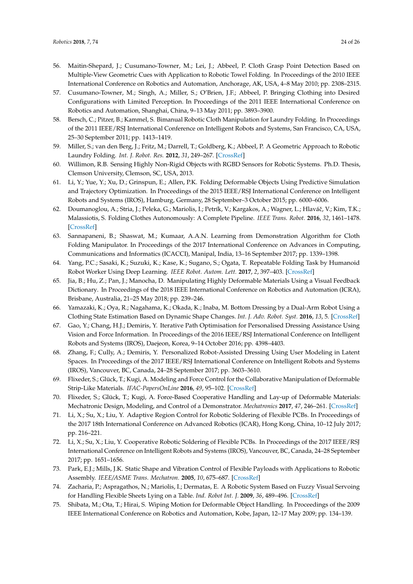- <span id="page-23-27"></span><span id="page-23-26"></span><span id="page-23-25"></span><span id="page-23-24"></span><span id="page-23-23"></span><span id="page-23-22"></span><span id="page-23-21"></span><span id="page-23-20"></span><span id="page-23-0"></span>56. Maitin-Shepard, J.; Cusumano-Towner, M.; Lei, J.; Abbeel, P. Cloth Grasp Point Detection Based on Multiple-View Geometric Cues with Application to Robotic Towel Folding. In Proceedings of the 2010 IEEE International Conference on Robotics and Automation, Anchorage, AK, USA, 4–8 May 2010; pp. 2308–2315.
- <span id="page-23-28"></span><span id="page-23-1"></span>57. Cusumano-Towner, M.; Singh, A.; Miller, S.; O'Brien, J.F.; Abbeel, P. Bringing Clothing into Desired Configurations with Limited Perception. In Proceedings of the 2011 IEEE International Conference on Robotics and Automation, Shanghai, China, 9–13 May 2011; pp. 3893–3900.
- <span id="page-23-29"></span><span id="page-23-2"></span>58. Bersch, C.; Pitzer, B.; Kammel, S. Bimanual Robotic Cloth Manipulation for Laundry Folding. In Proceedings of the 2011 IEEE/RSJ International Conference on Intelligent Robots and Systems, San Francisco, CA, USA, 25–30 September 2011; pp. 1413–1419.
- <span id="page-23-31"></span><span id="page-23-30"></span><span id="page-23-3"></span>59. Miller, S.; van den Berg, J.; Fritz, M.; Darrell, T.; Goldberg, K.; Abbeel, P. A Geometric Approach to Robotic Laundry Folding. *Int. J. Robot. Res.* **2012**, *31*, 249–267. [\[CrossRef\]](http://dx.doi.org/10.1177/0278364911430417)
- <span id="page-23-4"></span>60. Willimon, R.B. Sensing Highly Non-Rigid Objects with RGBD Sensors for Robotic Systems. Ph.D. Thesis, Clemson University, Clemson, SC, USA, 2013.
- <span id="page-23-32"></span><span id="page-23-5"></span>61. Li, Y.; Yue, Y.; Xu, D.; Grinspun, E.; Allen, P.K. Folding Deformable Objects Using Predictive Simulation and Trajectory Optimization. In Proceedings of the 2015 IEEE/RSJ International Conference on Intelligent Robots and Systems (IROS), Hamburg, Germany, 28 September–3 October 2015; pp. 6000–6006.
- <span id="page-23-37"></span><span id="page-23-36"></span><span id="page-23-6"></span>62. Doumanoglou, A.; Stria, J.; Peleka, G.; Mariolis, I.; Petrík, V.; Kargakos, A.; Wagner, L.; Hlaváč, V.; Kim, T.K.; Malassiotis, S. Folding Clothes Autonomously: A Complete Pipeline. *IEEE Trans. Robot.* **2016**, *32*, 1461–1478. [\[CrossRef\]](http://dx.doi.org/10.1109/TRO.2016.2602376)
- <span id="page-23-33"></span><span id="page-23-7"></span>63. Sannapaneni, B.; Shaswat, M.; Kumaar, A.A.N. Learning from Demonstration Algorithm for Cloth Folding Manipulator. In Proceedings of the 2017 International Conference on Advances in Computing, Communications and Informatics (ICACCI), Manipal, India, 13–16 September 2017; pp. 1339–1398.
- <span id="page-23-34"></span><span id="page-23-8"></span>64. Yang, P.C.; Sasaki, K.; Suzuki, K.; Kase, K.; Sugano, S.; Ogata, T. Repeatable Folding Task by Humanoid Robot Worker Using Deep Learning. *IEEE Robot. Autom. Lett.* **2017**, *2*, 397–403. [\[CrossRef\]](http://dx.doi.org/10.1109/LRA.2016.2633383)
- <span id="page-23-9"></span>65. Jia, B.; Hu, Z.; Pan, J.; Manocha, D. Manipulating Highly Deformable Materials Using a Visual Feedback Dictionary. In Proceedings of the 2018 IEEE International Conference on Robotics and Automation (ICRA), Brisbane, Australia, 21–25 May 2018; pp. 239–246.
- <span id="page-23-38"></span><span id="page-23-35"></span><span id="page-23-10"></span>66. Yamazaki, K.; Oya, R.; Nagahama, K.; Okada, K.; Inaba, M. Bottom Dressing by a Dual-Arm Robot Using a Clothing State Estimation Based on Dynamic Shape Changes. *Int. J. Adv. Robot. Syst.* **2016**, *13*, 5. [\[CrossRef\]](http://dx.doi.org/10.5772/61930)
- <span id="page-23-39"></span><span id="page-23-11"></span>67. Gao, Y.; Chang, H.J.; Demiris, Y. Iterative Path Optimisation for Personalised Dressing Assistance Using Vision and Force Information. In Proceedings of the 2016 IEEE/RSJ International Conference on Intelligent Robots and Systems (IROS), Daejeon, Korea, 9–14 October 2016; pp. 4398–4403.
- <span id="page-23-12"></span>68. Zhang, F.; Cully, A.; Demiris, Y. Personalized Robot-Assisted Dressing Using User Modeling in Latent Spaces. In Proceedings of the 2017 IEEE/RSJ International Conference on Intelligent Robots and Systems (IROS), Vancouver, BC, Canada, 24–28 September 2017; pp. 3603–3610.
- <span id="page-23-13"></span>69. Flixeder, S.; Glück, T.; Kugi, A. Modeling and Force Control for the Collaborative Manipulation of Deformable Strip-Like Materials. *IFAC-PapersOnLine* **2016**, *49*, 95–102. [\[CrossRef\]](http://dx.doi.org/10.1016/j.ifacol.2016.10.518)
- <span id="page-23-14"></span>70. Flixeder, S.; Glück, T.; Kugi, A. Force-Based Cooperative Handling and Lay-up of Deformable Materials: Mechatronic Design, Modeling, and Control of a Demonstrator. *Mechatronics* **2017**, *47*, 246–261. [\[CrossRef\]](http://dx.doi.org/10.1016/j.mechatronics.2016.10.003)
- <span id="page-23-15"></span>71. Li, X.; Su, X.; Liu, Y. Adaptive Region Control for Robotic Soldering of Flexible PCBs. In Proceedings of the 2017 18th International Conference on Advanced Robotics (ICAR), Hong Kong, China, 10–12 July 2017; pp. 216–221.
- <span id="page-23-16"></span>72. Li, X.; Su, X.; Liu, Y. Cooperative Robotic Soldering of Flexible PCBs. In Proceedings of the 2017 IEEE/RSJ International Conference on Intelligent Robots and Systems (IROS), Vancouver, BC, Canada, 24–28 September 2017; pp. 1651–1656.
- <span id="page-23-17"></span>73. Park, E.J.; Mills, J.K. Static Shape and Vibration Control of Flexible Payloads with Applications to Robotic Assembly. *IEEE/ASME Trans. Mechatron.* **2005**, *10*, 675–687. [\[CrossRef\]](http://dx.doi.org/10.1109/TMECH.2005.859836)
- <span id="page-23-18"></span>74. Zacharia, P.; Aspragathos, N.; Mariolis, I.; Dermatas, E. A Robotic System Based on Fuzzy Visual Servoing for Handling Flexible Sheets Lying on a Table. *Ind. Robot Int. J.* **2009**, *36*, 489–496. [\[CrossRef\]](http://dx.doi.org/10.1108/01439910910980213)
- <span id="page-23-19"></span>75. Shibata, M.; Ota, T.; Hirai, S. Wiping Motion for Deformable Object Handling. In Proceedings of the 2009 IEEE International Conference on Robotics and Automation, Kobe, Japan, 12–17 May 2009; pp. 134–139.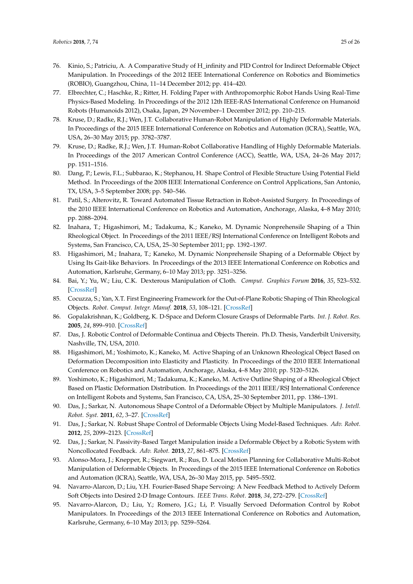- <span id="page-24-28"></span><span id="page-24-27"></span><span id="page-24-26"></span><span id="page-24-25"></span><span id="page-24-23"></span><span id="page-24-22"></span><span id="page-24-21"></span><span id="page-24-20"></span><span id="page-24-0"></span>76. Kinio, S.; Patriciu, A. A Comparative Study of H\_infinity and PID Control for Indirect Deformable Object Manipulation. In Proceedings of the 2012 IEEE International Conference on Robotics and Biomimetics (ROBIO), Guangzhou, China, 11–14 December 2012; pp. 414–420.
- <span id="page-24-1"></span>77. Elbrechter, C.; Haschke, R.; Ritter, H. Folding Paper with Anthropomorphic Robot Hands Using Real-Time Physics-Based Modeling. In Proceedings of the 2012 12th IEEE-RAS International Conference on Humanoid Robots (Humanoids 2012), Osaka, Japan, 29 November–1 December 2012; pp. 210–215.
- <span id="page-24-29"></span><span id="page-24-24"></span><span id="page-24-2"></span>78. Kruse, D.; Radke, R.J.; Wen, J.T. Collaborative Human-Robot Manipulation of Highly Deformable Materials. In Proceedings of the 2015 IEEE International Conference on Robotics and Automation (ICRA), Seattle, WA, USA, 26–30 May 2015; pp. 3782–3787.
- <span id="page-24-30"></span><span id="page-24-3"></span>79. Kruse, D.; Radke, R.J.; Wen, J.T. Human-Robot Collaborative Handling of Highly Deformable Materials. In Proceedings of the 2017 American Control Conference (ACC), Seattle, WA, USA, 24–26 May 2017; pp. 1511–1516.
- <span id="page-24-31"></span><span id="page-24-4"></span>80. Dang, P.; Lewis, F.L.; Subbarao, K.; Stephanou, H. Shape Control of Flexible Structure Using Potential Field Method. In Proceedings of the 2008 IEEE International Conference on Control Applications, San Antonio, TX, USA, 3–5 September 2008; pp. 540–546.
- <span id="page-24-32"></span><span id="page-24-5"></span>81. Patil, S.; Alterovitz, R. Toward Automated Tissue Retraction in Robot-Assisted Surgery. In Proceedings of the 2010 IEEE International Conference on Robotics and Automation, Anchorage, Alaska, 4–8 May 2010; pp. 2088–2094.
- <span id="page-24-33"></span><span id="page-24-6"></span>82. Inahara, T.; Higashimori, M.; Tadakuma, K.; Kaneko, M. Dynamic Nonprehensile Shaping of a Thin Rheological Object. In Proceedings of the 2011 IEEE/RSJ International Conference on Intelligent Robots and Systems, San Francisco, CA, USA, 25–30 September 2011; pp. 1392–1397.
- <span id="page-24-36"></span><span id="page-24-7"></span>83. Higashimori, M.; Inahara, T.; Kaneko, M. Dynamic Nonprehensile Shaping of a Deformable Object by Using Its Gait-like Behaviors. In Proceedings of the 2013 IEEE International Conference on Robotics and Automation, Karlsruhe, Germany, 6–10 May 2013; pp. 3251–3256.
- <span id="page-24-34"></span><span id="page-24-8"></span>84. Bai, Y.; Yu, W.; Liu, C.K. Dexterous Manipulation of Cloth. *Comput. Graphics Forum* **2016**, *35*, 523–532. [\[CrossRef\]](http://dx.doi.org/10.1111/cgf.12852)
- <span id="page-24-9"></span>85. Cocuzza, S.; Yan, X.T. First Engineering Framework for the Out-of-Plane Robotic Shaping of Thin Rheological Objects. *Robot. Comput. Integr. Manuf.* **2018**, *53*, 108–121. [\[CrossRef\]](http://dx.doi.org/10.1016/j.rcim.2018.02.005)
- <span id="page-24-35"></span><span id="page-24-10"></span>86. Gopalakrishnan, K.; Goldberg, K. D-Space and Deform Closure Grasps of Deformable Parts. *Int. J. Robot. Res.* **2005**, *24*, 899–910. [\[CrossRef\]](http://dx.doi.org/10.1177/0278364905059055)
- <span id="page-24-11"></span>87. Das, J. Robotic Control of Deformable Continua and Objects Therein. Ph.D. Thesis, Vanderbilt University, Nashville, TN, USA, 2010.
- <span id="page-24-12"></span>88. Higashimori, M.; Yoshimoto, K.; Kaneko, M. Active Shaping of an Unknown Rheological Object Based on Deformation Decomposition into Elasticity and Plasticity. In Proceedings of the 2010 IEEE International Conference on Robotics and Automation, Anchorage, Alaska, 4–8 May 2010; pp. 5120–5126.
- <span id="page-24-13"></span>89. Yoshimoto, K.; Higashimori, M.; Tadakuma, K.; Kaneko, M. Active Outline Shaping of a Rheological Object Based on Plastic Deformation Distribution. In Proceedings of the 2011 IEEE/RSJ International Conference on Intelligent Robots and Systems, San Francisco, CA, USA, 25–30 September 2011, pp. 1386–1391.
- <span id="page-24-14"></span>90. Das, J.; Sarkar, N. Autonomous Shape Control of a Deformable Object by Multiple Manipulators. *J. Intell. Robot. Syst.* **2011**, *62*, 3–27. [\[CrossRef\]](http://dx.doi.org/10.1007/s10846-010-9436-5)
- <span id="page-24-15"></span>91. Das, J.; Sarkar, N. Robust Shape Control of Deformable Objects Using Model-Based Techniques. *Adv. Robot.* **2012**, *25*, 2099–2123. [\[CrossRef\]](http://dx.doi.org/10.1163/016918611X590319)
- <span id="page-24-16"></span>92. Das, J.; Sarkar, N. Passivity-Based Target Manipulation inside a Deformable Object by a Robotic System with Noncollocated Feedback. *Adv. Robot.* **2013**, *27*, 861–875. [\[CrossRef\]](http://dx.doi.org/10.1080/01691864.2013.791657)
- <span id="page-24-17"></span>93. Alonso-Mora, J.; Knepper, R.; Siegwart, R.; Rus, D. Local Motion Planning for Collaborative Multi-Robot Manipulation of Deformable Objects. In Proceedings of the 2015 IEEE International Conference on Robotics and Automation (ICRA), Seattle, WA, USA, 26–30 May 2015, pp. 5495–5502.
- <span id="page-24-18"></span>94. Navarro-Alarcon, D.; Liu, Y.H. Fourier-Based Shape Servoing: A New Feedback Method to Actively Deform Soft Objects into Desired 2-D Image Contours. *IEEE Trans. Robot.* **2018**, *34*, 272–279. [\[CrossRef\]](http://dx.doi.org/10.1109/TRO.2017.2765333)
- <span id="page-24-19"></span>95. Navarro-Alarcon, D.; Liu, Y.; Romero, J.G.; Li, P. Visually Servoed Deformation Control by Robot Manipulators. In Proceedings of the 2013 IEEE International Conference on Robotics and Automation, Karlsruhe, Germany, 6–10 May 2013; pp. 5259–5264.